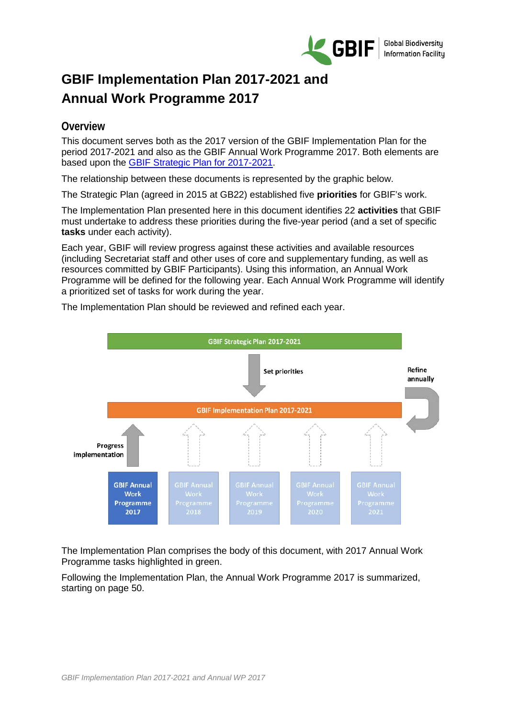

# **GBIF Implementation Plan 2017-2021 and Annual Work Programme 2017**

### **Overview**

This document serves both as the 2017 version of the GBIF Implementation Plan for the period 2017-2021 and also as the GBIF Annual Work Programme 2017. Both elements are based upon the [GBIF Strategic Plan for 2017-2021.](http://www.gbif.org/sites/default/files/documents/Approved_Strategic_Plan_2017-2021.pdf)

The relationship between these documents is represented by the graphic below.

The Strategic Plan (agreed in 2015 at GB22) established five **priorities** for GBIF's work.

The Implementation Plan presented here in this document identifies 22 **activities** that GBIF must undertake to address these priorities during the five-year period (and a set of specific **tasks** under each activity).

Each year, GBIF will review progress against these activities and available resources (including Secretariat staff and other uses of core and supplementary funding, as well as resources committed by GBIF Participants). Using this information, an Annual Work Programme will be defined for the following year. Each Annual Work Programme will identify a prioritized set of tasks for work during the year.



The Implementation Plan should be reviewed and refined each year.

The Implementation Plan comprises the body of this document, with 2017 Annual Work Programme tasks highlighted in green.

Following the Implementation Plan, the Annual Work Programme 2017 is summarized, starting on page [50.](#page-49-0)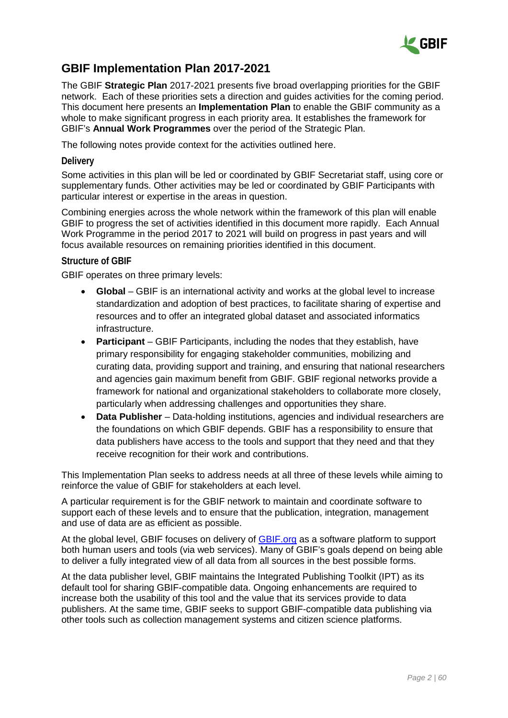

### **GBIF Implementation Plan 2017-2021**

The GBIF **Strategic Plan** 2017-2021 presents five broad overlapping priorities for the GBIF network. Each of these priorities sets a direction and guides activities for the coming period. This document here presents an **Implementation Plan** to enable the GBIF community as a whole to make significant progress in each priority area. It establishes the framework for GBIF's **Annual Work Programmes** over the period of the Strategic Plan.

The following notes provide context for the activities outlined here.

#### **Delivery**

Some activities in this plan will be led or coordinated by GBIF Secretariat staff, using core or supplementary funds. Other activities may be led or coordinated by GBIF Participants with particular interest or expertise in the areas in question.

Combining energies across the whole network within the framework of this plan will enable GBIF to progress the set of activities identified in this document more rapidly. Each Annual Work Programme in the period 2017 to 2021 will build on progress in past years and will focus available resources on remaining priorities identified in this document.

#### **Structure of GBIF**

GBIF operates on three primary levels:

- **Global** GBIF is an international activity and works at the global level to increase standardization and adoption of best practices, to facilitate sharing of expertise and resources and to offer an integrated global dataset and associated informatics infrastructure.
- **Participant** GBIF Participants, including the nodes that they establish, have primary responsibility for engaging stakeholder communities, mobilizing and curating data, providing support and training, and ensuring that national researchers and agencies gain maximum benefit from GBIF. GBIF regional networks provide a framework for national and organizational stakeholders to collaborate more closely, particularly when addressing challenges and opportunities they share.
- **Data Publisher** Data-holding institutions, agencies and individual researchers are the foundations on which GBIF depends. GBIF has a responsibility to ensure that data publishers have access to the tools and support that they need and that they receive recognition for their work and contributions.

This Implementation Plan seeks to address needs at all three of these levels while aiming to reinforce the value of GBIF for stakeholders at each level.

A particular requirement is for the GBIF network to maintain and coordinate software to support each of these levels and to ensure that the publication, integration, management and use of data are as efficient as possible.

At the global level, GBIF focuses on delivery of [GBIF.org](http://gbif.org/) as a software platform to support both human users and tools (via web services). Many of GBIF's goals depend on being able to deliver a fully integrated view of all data from all sources in the best possible forms.

At the data publisher level, GBIF maintains the Integrated Publishing Toolkit (IPT) as its default tool for sharing GBIF-compatible data. Ongoing enhancements are required to increase both the usability of this tool and the value that its services provide to data publishers. At the same time, GBIF seeks to support GBIF-compatible data publishing via other tools such as collection management systems and citizen science platforms.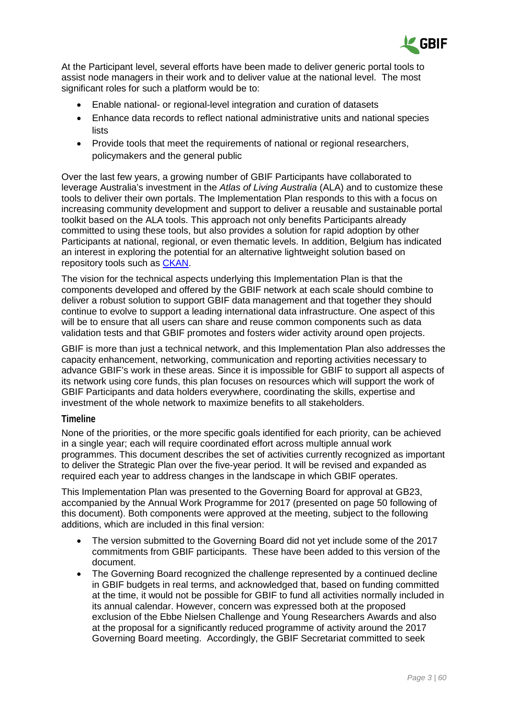

At the Participant level, several efforts have been made to deliver generic portal tools to assist node managers in their work and to deliver value at the national level. The most significant roles for such a platform would be to:

- Enable national- or regional-level integration and curation of datasets
- Enhance data records to reflect national administrative units and national species lists
- Provide tools that meet the requirements of national or regional researchers, policymakers and the general public

Over the last few years, a growing number of GBIF Participants have collaborated to leverage Australia's investment in the *Atlas of Living Australia* (ALA) and to customize these tools to deliver their own portals. The Implementation Plan responds to this with a focus on increasing community development and support to deliver a reusable and sustainable portal toolkit based on the ALA tools. This approach not only benefits Participants already committed to using these tools, but also provides a solution for rapid adoption by other Participants at national, regional, or even thematic levels. In addition, Belgium has indicated an interest in exploring the potential for an alternative lightweight solution based on repository tools such as [CKAN.](http://ckan.org/)

The vision for the technical aspects underlying this Implementation Plan is that the components developed and offered by the GBIF network at each scale should combine to deliver a robust solution to support GBIF data management and that together they should continue to evolve to support a leading international data infrastructure. One aspect of this will be to ensure that all users can share and reuse common components such as data validation tests and that GBIF promotes and fosters wider activity around open projects.

GBIF is more than just a technical network, and this Implementation Plan also addresses the capacity enhancement, networking, communication and reporting activities necessary to advance GBIF's work in these areas. Since it is impossible for GBIF to support all aspects of its network using core funds, this plan focuses on resources which will support the work of GBIF Participants and data holders everywhere, coordinating the skills, expertise and investment of the whole network to maximize benefits to all stakeholders.

#### **Timeline**

None of the priorities, or the more specific goals identified for each priority, can be achieved in a single year; each will require coordinated effort across multiple annual work programmes. This document describes the set of activities currently recognized as important to deliver the Strategic Plan over the five-year period. It will be revised and expanded as required each year to address changes in the landscape in which GBIF operates.

This Implementation Plan was presented to the Governing Board for approval at GB23, accompanied by the Annual Work Programme for 2017 (presented on page [50](#page-49-0) following of this document). Both components were approved at the meeting, subject to the following additions, which are included in this final version:

- The version submitted to the Governing Board did not yet include some of the 2017 commitments from GBIF participants. These have been added to this version of the document.
- The Governing Board recognized the challenge represented by a continued decline in GBIF budgets in real terms, and acknowledged that, based on funding committed at the time, it would not be possible for GBIF to fund all activities normally included in its annual calendar. However, concern was expressed both at the proposed exclusion of the Ebbe Nielsen Challenge and Young Researchers Awards and also at the proposal for a significantly reduced programme of activity around the 2017 Governing Board meeting. Accordingly, the GBIF Secretariat committed to seek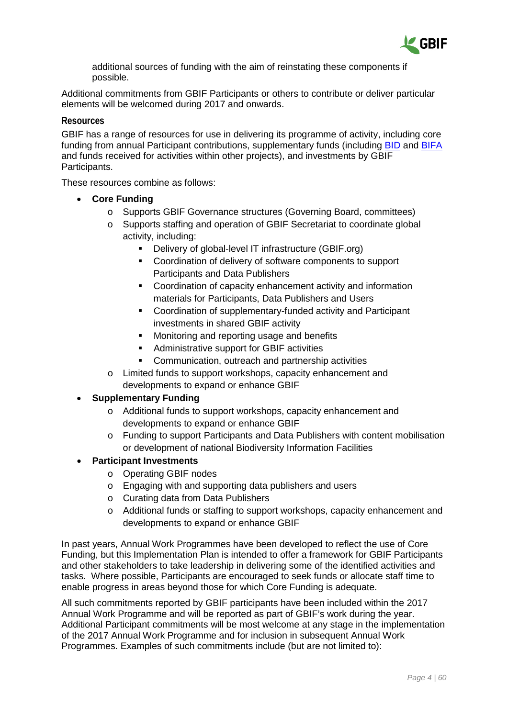

additional sources of funding with the aim of reinstating these components if possible.

Additional commitments from GBIF Participants or others to contribute or deliver particular elements will be welcomed during 2017 and onwards.

#### **Resources**

GBIF has a range of resources for use in delivering its programme of activity, including core funding from annual Participant contributions, supplementary funds (including [BID](http://www.gbif.org/bid) and [BIFA](http://www.gbif.org/programme/bifa) and funds received for activities within other projects), and investments by GBIF Participants.

These resources combine as follows:

- **Core Funding**
	- o Supports GBIF Governance structures (Governing Board, committees)
	- o Supports staffing and operation of GBIF Secretariat to coordinate global activity, including:
		- Delivery of global-level IT infrastructure (GBIF.org)
		- Coordination of delivery of software components to support Participants and Data Publishers
		- Coordination of capacity enhancement activity and information materials for Participants, Data Publishers and Users
		- Coordination of supplementary-funded activity and Participant investments in shared GBIF activity
		- Monitoring and reporting usage and benefits
		- **Administrative support for GBIF activities**
		- Communication, outreach and partnership activities
	- o Limited funds to support workshops, capacity enhancement and developments to expand or enhance GBIF

#### • **Supplementary Funding**

- o Additional funds to support workshops, capacity enhancement and developments to expand or enhance GBIF
- o Funding to support Participants and Data Publishers with content mobilisation or development of national Biodiversity Information Facilities

#### • **Participant Investments**

- o Operating GBIF nodes
- o Engaging with and supporting data publishers and users
- o Curating data from Data Publishers
- o Additional funds or staffing to support workshops, capacity enhancement and developments to expand or enhance GBIF

In past years, Annual Work Programmes have been developed to reflect the use of Core Funding, but this Implementation Plan is intended to offer a framework for GBIF Participants and other stakeholders to take leadership in delivering some of the identified activities and tasks. Where possible, Participants are encouraged to seek funds or allocate staff time to enable progress in areas beyond those for which Core Funding is adequate.

All such commitments reported by GBIF participants have been included within the 2017 Annual Work Programme and will be reported as part of GBIF's work during the year. Additional Participant commitments will be most welcome at any stage in the implementation of the 2017 Annual Work Programme and for inclusion in subsequent Annual Work Programmes. Examples of such commitments include (but are not limited to):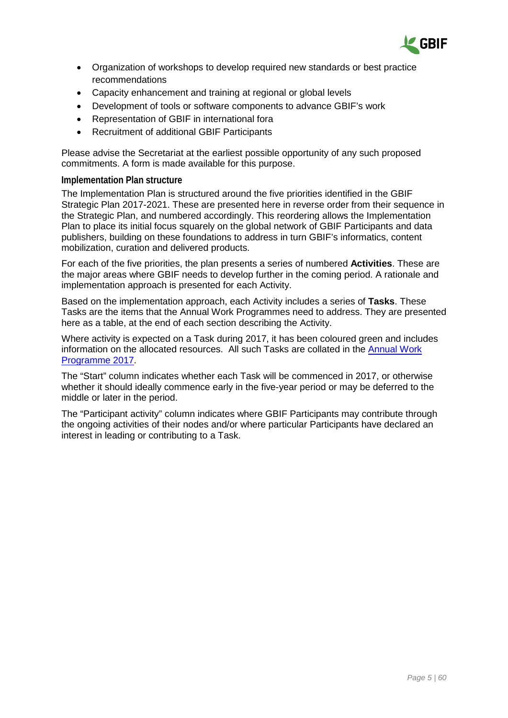

- Organization of workshops to develop required new standards or best practice recommendations
- Capacity enhancement and training at regional or global levels
- Development of tools or software components to advance GBIF's work
- Representation of GBIF in international fora
- Recruitment of additional GBIF Participants

Please advise the Secretariat at the earliest possible opportunity of any such proposed commitments. A form is made available for this purpose.

#### **Implementation Plan structure**

The Implementation Plan is structured around the five priorities identified in the GBIF Strategic Plan 2017-2021. These are presented here in reverse order from their sequence in the Strategic Plan, and numbered accordingly. This reordering allows the Implementation Plan to place its initial focus squarely on the global network of GBIF Participants and data publishers, building on these foundations to address in turn GBIF's informatics, content mobilization, curation and delivered products.

For each of the five priorities, the plan presents a series of numbered **Activities**. These are the major areas where GBIF needs to develop further in the coming period. A rationale and implementation approach is presented for each Activity.

Based on the implementation approach, each Activity includes a series of **Tasks**. These Tasks are the items that the Annual Work Programmes need to address. They are presented here as a table, at the end of each section describing the Activity.

Where activity is expected on a Task during 2017, it has been coloured green and includes information on the allocated resources. All such Tasks are collated in the [Annual Work](#page-48-0)  [Programme 2017.](#page-48-0)

The "Start" column indicates whether each Task will be commenced in 2017, or otherwise whether it should ideally commence early in the five-year period or may be deferred to the middle or later in the period.

The "Participant activity" column indicates where GBIF Participants may contribute through the ongoing activities of their nodes and/or where particular Participants have declared an interest in leading or contributing to a Task.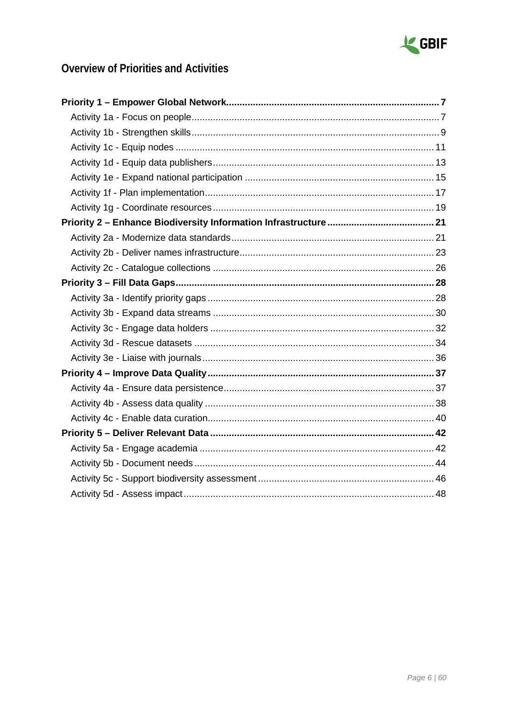

# **Overview of Priorities and Activities**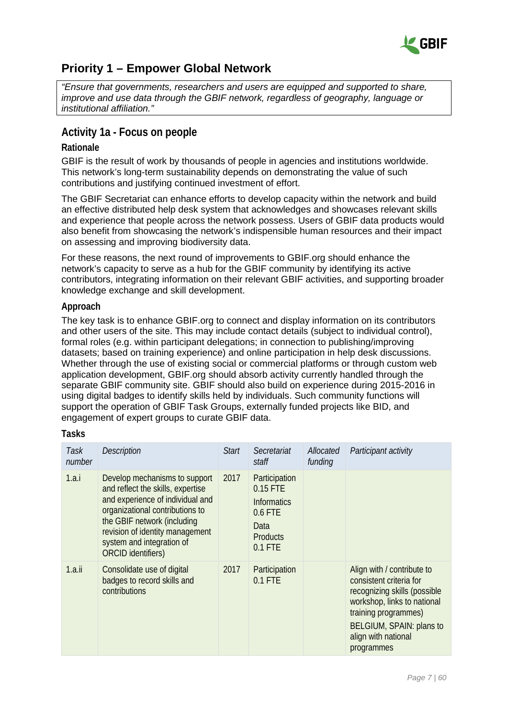

# <span id="page-6-0"></span>**Priority 1 – Empower Global Network**

*"Ensure that governments, researchers and users are equipped and supported to share, improve and use data through the GBIF network, regardless of geography, language or institutional affiliation."*

### <span id="page-6-1"></span>**Activity 1a - Focus on people**

#### **Rationale**

GBIF is the result of work by thousands of people in agencies and institutions worldwide. This network's long-term sustainability depends on demonstrating the value of such contributions and justifying continued investment of effort.

The GBIF Secretariat can enhance efforts to develop capacity within the network and build an effective distributed help desk system that acknowledges and showcases relevant skills and experience that people across the network possess. Users of GBIF data products would also benefit from showcasing the network's indispensible human resources and their impact on assessing and improving biodiversity data.

For these reasons, the next round of improvements to GBIF.org should enhance the network's capacity to serve as a hub for the GBIF community by identifying its active contributors, integrating information on their relevant GBIF activities, and supporting broader knowledge exchange and skill development.

#### **Approach**

The key task is to enhance GBIF.org to connect and display information on its contributors and other users of the site. This may include contact details (subject to individual control), formal roles (e.g. within participant delegations; in connection to publishing/improving datasets; based on training experience) and online participation in help desk discussions. Whether through the use of existing social or commercial platforms or through custom web application development, GBIF.org should absorb activity currently handled through the separate GBIF community site. GBIF should also build on experience during 2015-2016 in using digital badges to identify skills held by individuals. Such community functions will support the operation of GBIF Task Groups, externally funded projects like BID, and engagement of expert groups to curate GBIF data.

| Task<br>number | <b>Description</b>                                                                                                                                                                                                                                             | <b>Start</b> | Secretariat<br>staff                                                                               | Allocated<br>funding | Participant activity                                                                                                                                                                                          |
|----------------|----------------------------------------------------------------------------------------------------------------------------------------------------------------------------------------------------------------------------------------------------------------|--------------|----------------------------------------------------------------------------------------------------|----------------------|---------------------------------------------------------------------------------------------------------------------------------------------------------------------------------------------------------------|
| 1.a.i          | Develop mechanisms to support<br>and reflect the skills, expertise<br>and experience of individual and<br>organizational contributions to<br>the GBIF network (including<br>revision of identity management<br>system and integration of<br>ORCID identifiers) | 2017         | Participation<br>0.15 FTE<br><b>Informatics</b><br>0.6 FTE<br>Data<br><b>Products</b><br>$0.1$ FTE |                      |                                                                                                                                                                                                               |
| 1.a.ii         | Consolidate use of digital<br>badges to record skills and<br>contributions                                                                                                                                                                                     | 2017         | Participation<br>$0.1$ FTE                                                                         |                      | Align with / contribute to<br>consistent criteria for<br>recognizing skills (possible<br>workshop, links to national<br>training programmes)<br>BELGIUM, SPAIN: plans to<br>align with national<br>programmes |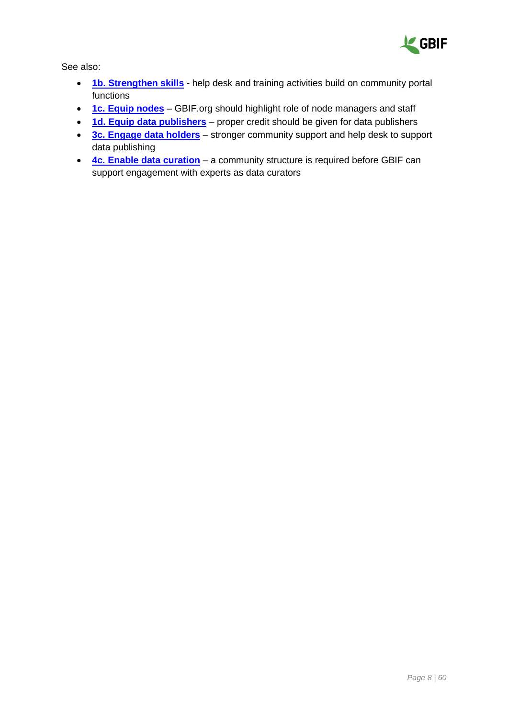

- **[1b. Strengthen skills](#page-8-0)** help desk and training activities build on community portal functions
- **[1c. Equip nodes](#page-10-0)** GBIF.org should highlight role of node managers and staff
- **[1d. Equip data publishers](#page-12-0)** proper credit should be given for data publishers
- **[3c. Engage data holders](#page-31-0)** stronger community support and help desk to support data publishing
- **[4c. Enable data curation](#page-39-0)** a community structure is required before GBIF can support engagement with experts as data curators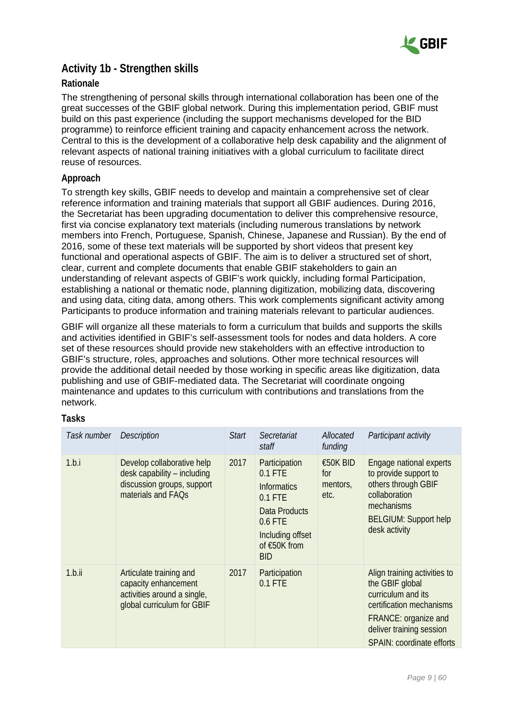

### <span id="page-8-0"></span>**Activity 1b - Strengthen skills**

#### **Rationale**

The strengthening of personal skills through international collaboration has been one of the great successes of the GBIF global network. During this implementation period, GBIF must build on this past experience (including the support mechanisms developed for the BID programme) to reinforce efficient training and capacity enhancement across the network. Central to this is the development of a collaborative help desk capability and the alignment of relevant aspects of national training initiatives with a global curriculum to facilitate direct reuse of resources.

#### **Approach**

To strength key skills, GBIF needs to develop and maintain a comprehensive set of clear reference information and training materials that support all GBIF audiences. During 2016, the Secretariat has been upgrading documentation to deliver this comprehensive resource, first via concise explanatory text materials (including numerous translations by network members into French, Portuguese, Spanish, Chinese, Japanese and Russian). By the end of 2016, some of these text materials will be supported by short videos that present key functional and operational aspects of GBIF. The aim is to deliver a structured set of short, clear, current and complete documents that enable GBIF stakeholders to gain an understanding of relevant aspects of GBIF's work quickly, including formal Participation, establishing a national or thematic node, planning digitization, mobilizing data, discovering and using data, citing data, among others. This work complements significant activity among Participants to produce information and training materials relevant to particular audiences.

GBIF will organize all these materials to form a curriculum that builds and supports the skills and activities identified in GBIF's self-assessment tools for nodes and data holders. A core set of these resources should provide new stakeholders with an effective introduction to GBIF's structure, roles, approaches and solutions. Other more technical resources will provide the additional detail needed by those working in specific areas like digitization, data publishing and use of GBIF-mediated data. The Secretariat will coordinate ongoing maintenance and updates to this curriculum with contributions and translations from the network.

| Task number | <b>Description</b>                                                                                            | <b>Start</b> | Secretariat<br>staff                                                                                                                        | Allocated<br>funding                | Participant activity                                                                                                                                                               |
|-------------|---------------------------------------------------------------------------------------------------------------|--------------|---------------------------------------------------------------------------------------------------------------------------------------------|-------------------------------------|------------------------------------------------------------------------------------------------------------------------------------------------------------------------------------|
| 1.b.i       | Develop collaborative help<br>desk capability – including<br>discussion groups, support<br>materials and FAQs | 2017         | Participation<br>$0.1$ FTE<br><b>Informatics</b><br>$0.1$ FTE<br>Data Products<br>0.6 FTE<br>Including offset<br>of €50K from<br><b>BID</b> | €50K BID<br>for<br>mentors,<br>etc. | Engage national experts<br>to provide support to<br>others through GBIF<br>collaboration<br>mechanisms<br><b>BELGIUM: Support help</b><br>desk activity                            |
| 1.b.ii      | Articulate training and<br>capacity enhancement<br>activities around a single,<br>global curriculum for GBIF  | 2017         | Participation<br>$0.1$ FTE                                                                                                                  |                                     | Align training activities to<br>the GBIF global<br>curriculum and its<br>certification mechanisms<br>FRANCE: organize and<br>deliver training session<br>SPAIN: coordinate efforts |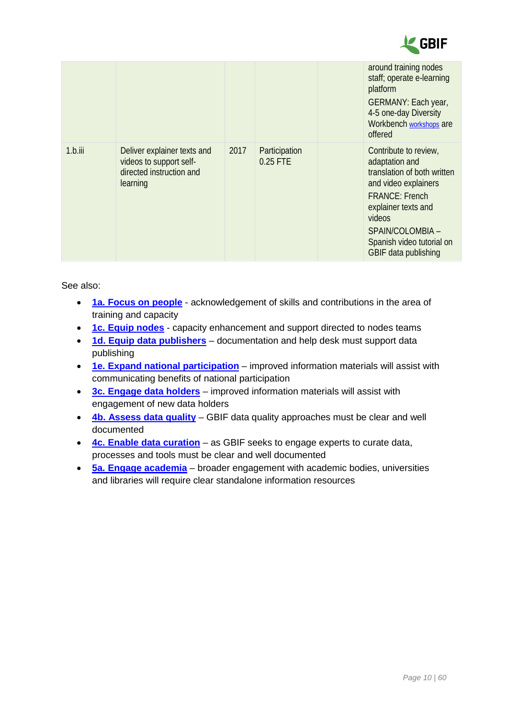

|            |                                                                                                |      |                           | around training nodes<br>staff; operate e-learning<br>platform<br>GERMANY: Each year,<br>4-5 one-day Diversity<br>Workbench workshops are<br>offered                                                                              |
|------------|------------------------------------------------------------------------------------------------|------|---------------------------|-----------------------------------------------------------------------------------------------------------------------------------------------------------------------------------------------------------------------------------|
| $1.b.$ iii | Deliver explainer texts and<br>videos to support self-<br>directed instruction and<br>learning | 2017 | Participation<br>0.25 FTE | Contribute to review,<br>adaptation and<br>translation of both written<br>and video explainers<br><b>FRANCE: French</b><br>explainer texts and<br>videos<br>SPAIN/COLOMBIA -<br>Spanish video tutorial on<br>GBIF data publishing |

- **[1a. Focus on people](#page-6-1)** acknowledgement of skills and contributions in the area of training and capacity
- **[1c. Equip nodes](#page-10-0)** capacity enhancement and support directed to nodes teams
- **[1d. Equip data publishers](#page-12-0)** documentation and help desk must support data publishing
- **[1e. Expand national participation](#page-14-0)** improved information materials will assist with communicating benefits of national participation
- **[3c. Engage data holders](#page-31-0)** improved information materials will assist with engagement of new data holders
- **[4b. Assess data quality](#page-37-0)** GBIF data quality approaches must be clear and well documented
- **[4c. Enable data curation](#page-39-0)** as GBIF seeks to engage experts to curate data, processes and tools must be clear and well documented
- **[5a. Engage academia](#page-41-1)** broader engagement with academic bodies, universities and libraries will require clear standalone information resources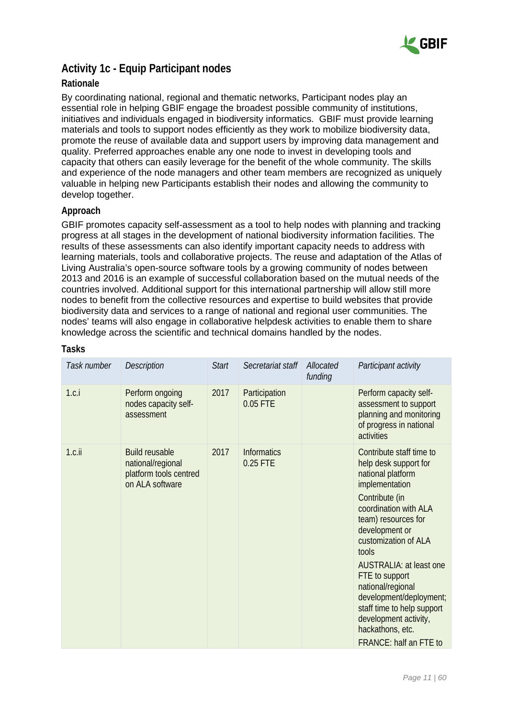

## <span id="page-10-0"></span>**Activity 1c - Equip Participant nodes**

#### **Rationale**

By coordinating national, regional and thematic networks, Participant nodes play an essential role in helping GBIF engage the broadest possible community of institutions, initiatives and individuals engaged in biodiversity informatics. GBIF must provide learning materials and tools to support nodes efficiently as they work to mobilize biodiversity data, promote the reuse of available data and support users by improving data management and quality. Preferred approaches enable any one node to invest in developing tools and capacity that others can easily leverage for the benefit of the whole community. The skills and experience of the node managers and other team members are recognized as uniquely valuable in helping new Participants establish their nodes and allowing the community to develop together.

#### **Approach**

GBIF promotes capacity self-assessment as a tool to help nodes with planning and tracking progress at all stages in the development of national biodiversity information facilities. The results of these assessments can also identify important capacity needs to address with learning materials, tools and collaborative projects. The reuse and adaptation of the Atlas of Living Australia's open-source software tools by a growing community of nodes between 2013 and 2016 is an example of successful collaboration based on the mutual needs of the countries involved. Additional support for this international partnership will allow still more nodes to benefit from the collective resources and expertise to build websites that provide biodiversity data and services to a range of national and regional user communities. The nodes' teams will also engage in collaborative helpdesk activities to enable them to share knowledge across the scientific and technical domains handled by the nodes.

| Task number | Description                                                                             | <b>Start</b> | Secretariat staff              | Allocated<br>funding | Participant activity                                                                                                                                                                                                                                                                                                                                                                                                          |
|-------------|-----------------------------------------------------------------------------------------|--------------|--------------------------------|----------------------|-------------------------------------------------------------------------------------------------------------------------------------------------------------------------------------------------------------------------------------------------------------------------------------------------------------------------------------------------------------------------------------------------------------------------------|
| 1.c.i       | Perform ongoing<br>nodes capacity self-<br>assessment                                   | 2017         | Participation<br>0.05 FTE      |                      | Perform capacity self-<br>assessment to support<br>planning and monitoring<br>of progress in national<br>activities                                                                                                                                                                                                                                                                                                           |
| $1.c.$ ii   | <b>Build reusable</b><br>national/regional<br>platform tools centred<br>on ALA software | 2017         | <b>Informatics</b><br>0.25 FTE |                      | Contribute staff time to<br>help desk support for<br>national platform<br>implementation<br>Contribute (in<br>coordination with ALA<br>team) resources for<br>development or<br>customization of ALA<br>tools<br><b>AUSTRALIA: at least one</b><br>FTE to support<br>national/regional<br>development/deployment;<br>staff time to help support<br>development activity,<br>hackathons, etc.<br><b>FRANCE: half an FTE to</b> |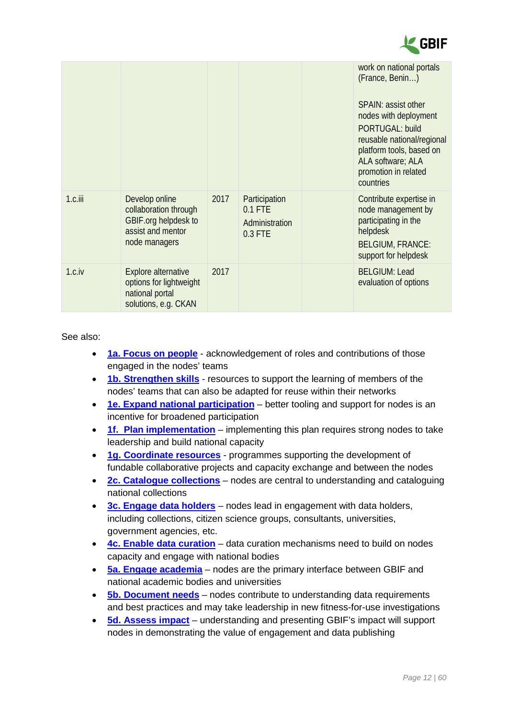

|            |                                                                                                       |      |                                                           | work on national portals<br>(France, Benin)<br>SPAIN: assist other<br>nodes with deployment<br><b>PORTUGAL: build</b><br>reusable national/regional<br>platform tools, based on<br>ALA software; ALA<br>promotion in related<br>countries |
|------------|-------------------------------------------------------------------------------------------------------|------|-----------------------------------------------------------|-------------------------------------------------------------------------------------------------------------------------------------------------------------------------------------------------------------------------------------------|
| $1.c.$ iii | Develop online<br>collaboration through<br>GBIF.org helpdesk to<br>assist and mentor<br>node managers | 2017 | Participation<br>$0.1$ FTE<br>Administration<br>$0.3$ FTE | Contribute expertise in<br>node management by<br>participating in the<br>helpdesk<br><b>BELGIUM, FRANCE:</b><br>support for helpdesk                                                                                                      |
| 1.c.iv     | <b>Explore alternative</b><br>options for lightweight<br>national portal<br>solutions, e.g. CKAN      | 2017 |                                                           | <b>BELGIUM: Lead</b><br>evaluation of options                                                                                                                                                                                             |

- **[1a. Focus on people](#page-6-1)** acknowledgement of roles and contributions of those engaged in the nodes' teams
- **[1b. Strengthen skills](#page-8-0)** resources to support the learning of members of the nodes' teams that can also be adapted for reuse within their networks
- **[1e. Expand national participation](#page-14-0)** better tooling and support for nodes is an incentive for broadened participation
- **[1f. Plan implementation](#page-16-0)** implementing this plan requires strong nodes to take leadership and build national capacity
- **[1g. Coordinate resources](#page-18-0)** programmes supporting the development of fundable collaborative projects and capacity exchange and between the nodes
- **[2c. Catalogue collections](#page-25-0)** nodes are central to understanding and cataloguing national collections
- **[3c. Engage data holders](#page-31-0)** nodes lead in engagement with data holders, including collections, citizen science groups, consultants, universities, government agencies, etc.
- **[4c. Enable data curation](#page-39-0)** data curation mechanisms need to build on nodes capacity and engage with national bodies
- **[5a. Engage academia](#page-41-1)** nodes are the primary interface between GBIF and national academic bodies and universities
- **[5b. Document needs](#page-43-0)** nodes contribute to understanding data requirements and best practices and may take leadership in new fitness-for-use investigations
- **[5d. Assess impact](#page-47-0)** understanding and presenting GBIF's impact will support nodes in demonstrating the value of engagement and data publishing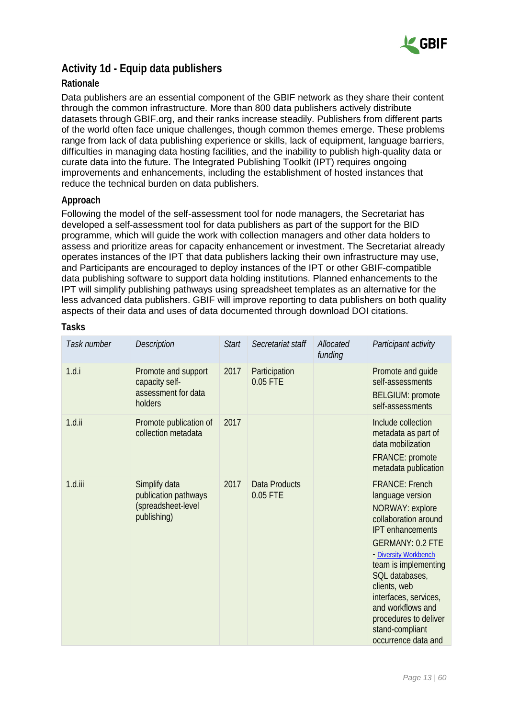

## <span id="page-12-0"></span>**Activity 1d - Equip data publishers**

#### **Rationale**

Data publishers are an essential component of the GBIF network as they share their content through the common infrastructure. More than 800 data publishers actively distribute datasets through GBIF.org, and their ranks increase steadily. Publishers from different parts of the world often face unique challenges, though common themes emerge. These problems range from lack of data publishing experience or skills, lack of equipment, language barriers, difficulties in managing data hosting facilities, and the inability to publish high-quality data or curate data into the future. The Integrated Publishing Toolkit (IPT) requires ongoing improvements and enhancements, including the establishment of hosted instances that reduce the technical burden on data publishers.

#### **Approach**

Following the model of the self-assessment tool for node managers, the Secretariat has developed a self-assessment tool for data publishers as part of the support for the BID programme, which will guide the work with collection managers and other data holders to assess and prioritize areas for capacity enhancement or investment. The Secretariat already operates instances of the IPT that data publishers lacking their own infrastructure may use, and Participants are encouraged to deploy instances of the IPT or other GBIF-compatible data publishing software to support data holding institutions. Planned enhancements to the IPT will simplify publishing pathways using spreadsheet templates as an alternative for the less advanced data publishers. GBIF will improve reporting to data publishers on both quality aspects of their data and uses of data documented through download DOI citations.

| Task number | Description                                                                | <b>Start</b> | Secretariat staff                | Allocated<br>funding | Participant activity                                                                                                                                                                                                                                                                                                                           |
|-------------|----------------------------------------------------------------------------|--------------|----------------------------------|----------------------|------------------------------------------------------------------------------------------------------------------------------------------------------------------------------------------------------------------------------------------------------------------------------------------------------------------------------------------------|
| 1.d.i       | Promote and support<br>capacity self-<br>assessment for data<br>holders    | 2017         | Participation<br>0.05 FTE        |                      | Promote and guide<br>self-assessments<br><b>BELGIUM: promote</b><br>self-assessments                                                                                                                                                                                                                                                           |
| $1.d.$ ii   | Promote publication of<br>collection metadata                              | 2017         |                                  |                      | Include collection<br>metadata as part of<br>data mobilization<br>FRANCE: promote<br>metadata publication                                                                                                                                                                                                                                      |
| $1.d.$ iii  | Simplify data<br>publication pathways<br>(spreadsheet-level<br>publishing) | 2017         | <b>Data Products</b><br>0.05 FTE |                      | <b>FRANCE: French</b><br>language version<br>NORWAY: explore<br>collaboration around<br><b>IPT</b> enhancements<br><b>GERMANY: 0.2 FTE</b><br>- Diversity Workbench<br>team is implementing<br>SQL databases,<br>clients, web<br>interfaces, services,<br>and workflows and<br>procedures to deliver<br>stand-compliant<br>occurrence data and |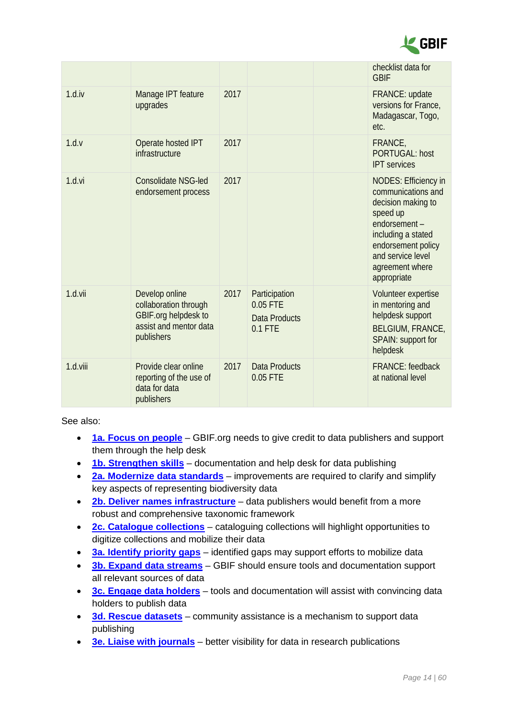

|          |                                                                                                         |      |                                                                  | checklist data for<br><b>GBIF</b>                                                                                                                                                                      |
|----------|---------------------------------------------------------------------------------------------------------|------|------------------------------------------------------------------|--------------------------------------------------------------------------------------------------------------------------------------------------------------------------------------------------------|
| 1.d.iv   | Manage IPT feature<br>upgrades                                                                          | 2017 |                                                                  | FRANCE: update<br>versions for France,<br>Madagascar, Togo,<br>etc.                                                                                                                                    |
| 1.d.v    | Operate hosted IPT<br>infrastructure                                                                    | 2017 |                                                                  | FRANCE,<br><b>PORTUGAL: host</b><br><b>IPT</b> services                                                                                                                                                |
| 1.d.vi   | <b>Consolidate NSG-led</b><br>endorsement process                                                       | 2017 |                                                                  | <b>NODES: Efficiency in</b><br>communications and<br>decision making to<br>speed up<br>endorsement-<br>including a stated<br>endorsement policy<br>and service level<br>agreement where<br>appropriate |
| 1.d.vii  | Develop online<br>collaboration through<br>GBIF.org helpdesk to<br>assist and mentor data<br>publishers | 2017 | Participation<br>$0.05$ FTE<br><b>Data Products</b><br>$0.1$ FTE | Volunteer expertise<br>in mentoring and<br>helpdesk support<br><b>BELGIUM, FRANCE,</b><br>SPAIN: support for<br>helpdesk                                                                               |
| 1.d.viii | Provide clear online<br>reporting of the use of<br>data for data<br>publishers                          | 2017 | <b>Data Products</b><br>0.05 FTE                                 | <b>FRANCE:</b> feedback<br>at national level                                                                                                                                                           |

- **[1a. Focus on people](#page-6-1)** GBIF.org needs to give credit to data publishers and support them through the help desk
- **[1b. Strengthen skills](#page-8-0)** documentation and help desk for data publishing
- **2a. Modernize [data standards](#page-20-1)** improvements are required to clarify and simplify key aspects of representing biodiversity data
- **[2b. Deliver names infrastructure](#page-22-0)** data publishers would benefit from a more robust and comprehensive taxonomic framework
- **[2c. Catalogue collections](#page-25-0)** cataloguing collections will highlight opportunities to digitize collections and mobilize their data
- **[3a. Identify priority gaps](#page-27-1)** identified gaps may support efforts to mobilize data
- **[3b. Expand data streams](#page-29-0)** GBIF should ensure tools and documentation support all relevant sources of data
- **[3c. Engage data holders](#page-31-0)** tools and documentation will assist with convincing data holders to publish data
- **[3d. Rescue datasets](#page-33-0)** community assistance is a mechanism to support data publishing
- **[3e. Liaise with journals](#page-34-0)** better visibility for data in research publications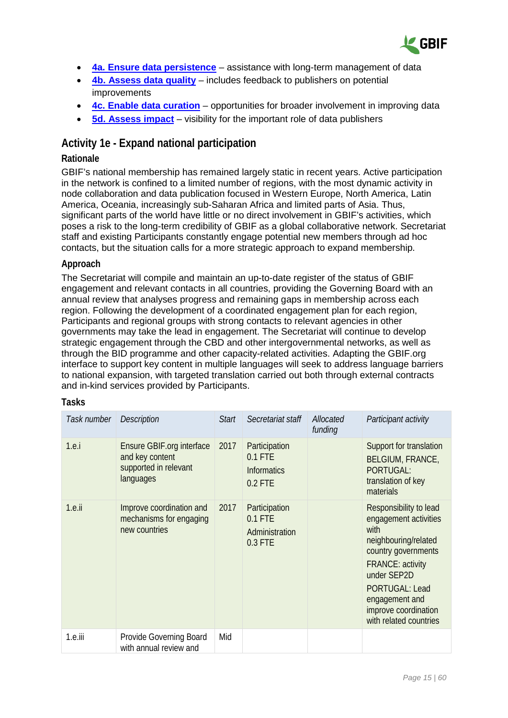

- **[4a. Ensure data persistence](#page-36-1)** assistance with long-term management of data
- **[4b. Assess data quality](#page-37-0)** includes feedback to publishers on potential improvements
- **[4c. Enable data curation](#page-39-0)** opportunities for broader involvement in improving data
- **[5d. Assess impact](#page-47-0)** visibility for the important role of data publishers

### <span id="page-14-0"></span>**Activity 1e - Expand national participation**

#### **Rationale**

GBIF's national membership has remained largely static in recent years. Active participation in the network is confined to a limited number of regions, with the most dynamic activity in node collaboration and data publication focused in Western Europe, North America, Latin America, Oceania, increasingly sub-Saharan Africa and limited parts of Asia. Thus, significant parts of the world have little or no direct involvement in GBIF's activities, which poses a risk to the long-term credibility of GBIF as a global collaborative network. Secretariat staff and existing Participants constantly engage potential new members through ad hoc contacts, but the situation calls for a more strategic approach to expand membership.

#### **Approach**

The Secretariat will compile and maintain an up-to-date register of the status of GBIF engagement and relevant contacts in all countries, providing the Governing Board with an annual review that analyses progress and remaining gaps in membership across each region. Following the development of a coordinated engagement plan for each region, Participants and regional groups with strong contacts to relevant agencies in other governments may take the lead in engagement. The Secretariat will continue to develop strategic engagement through the CBD and other intergovernmental networks, as well as through the BID programme and other capacity-related activities. Adapting the GBIF.org interface to support key content in multiple languages will seek to address language barriers to national expansion, with targeted translation carried out both through external contracts and in-kind services provided by Participants.

| Task number | <b>Description</b>                                                                        | <b>Start</b> | Secretariat staff                                             | Allocated<br>funding | Participant activity                                                                                                                                                                                                                          |
|-------------|-------------------------------------------------------------------------------------------|--------------|---------------------------------------------------------------|----------------------|-----------------------------------------------------------------------------------------------------------------------------------------------------------------------------------------------------------------------------------------------|
| 1.e.        | <b>Ensure GBIF org interface</b><br>and key content<br>supported in relevant<br>languages | 2017         | Participation<br>$0.1$ FTE<br><b>Informatics</b><br>$0.2$ FTE |                      | Support for translation<br><b>BELGIUM, FRANCE,</b><br>PORTUGAL:<br>translation of key<br>materials                                                                                                                                            |
| $1.e.$ ii   | Improve coordination and<br>mechanisms for engaging<br>new countries                      | 2017         | Participation<br>$0.1$ FTE<br>Administration<br>0.3 FTE       |                      | Responsibility to lead<br>engagement activities<br>with<br>neighbouring/related<br>country governments<br><b>FRANCE: activity</b><br>under SEP2D<br><b>PORTUGAL: Lead</b><br>engagement and<br>improve coordination<br>with related countries |
| 1.e.iii     | Provide Governing Board<br>with annual review and                                         | Mid          |                                                               |                      |                                                                                                                                                                                                                                               |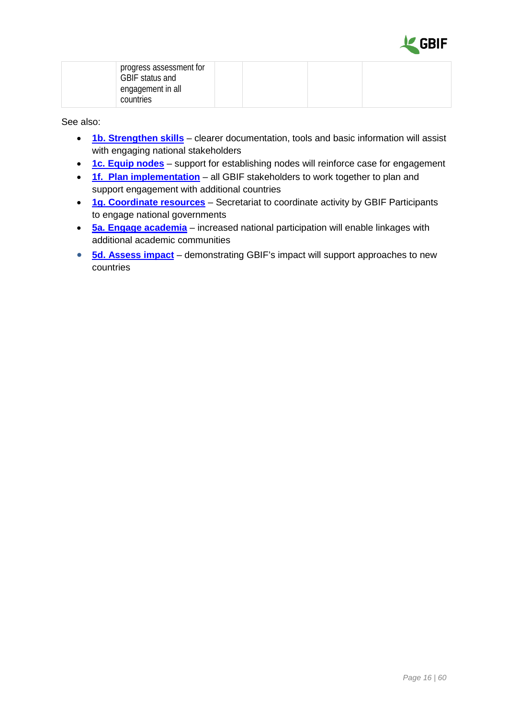

| progress assessment for<br>GBIF status and<br>engagement in all |  |  |  |
|-----------------------------------------------------------------|--|--|--|
| countries                                                       |  |  |  |

- **[1b. Strengthen skills](#page-8-0)** clearer documentation, tools and basic information will assist with engaging national stakeholders
- **[1c. Equip nodes](#page-10-0)** support for establishing nodes will reinforce case for engagement
- **[1f. Plan implementation](#page-16-0)** all GBIF stakeholders to work together to plan and support engagement with additional countries
- **[1g. Coordinate resources](#page-18-0)** Secretariat to coordinate activity by GBIF Participants to engage national governments
- **[5a. Engage academia](#page-41-1)** increased national participation will enable linkages with additional academic communities
- **[5d. Assess impact](#page-47-0)** demonstrating GBIF's impact will support approaches to new countries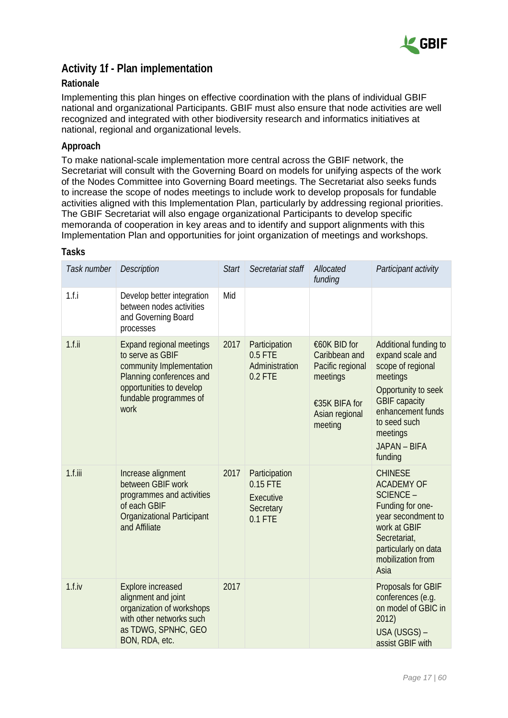

### <span id="page-16-0"></span>**Activity 1f - Plan implementation**

#### **Rationale**

Implementing this plan hinges on effective coordination with the plans of individual GBIF national and organizational Participants. GBIF must also ensure that node activities are well recognized and integrated with other biodiversity research and informatics initiatives at national, regional and organizational levels.

#### **Approach**

To make national-scale implementation more central across the GBIF network, the Secretariat will consult with the Governing Board on models for unifying aspects of the work of the Nodes Committee into Governing Board meetings. The Secretariat also seeks funds to increase the scope of nodes meetings to include work to develop proposals for fundable activities aligned with this Implementation Plan, particularly by addressing regional priorities. The GBIF Secretariat will also engage organizational Participants to develop specific memoranda of cooperation in key areas and to identify and support alignments with this Implementation Plan and opportunities for joint organization of meetings and workshops.

| Task number | Description                                                                                                                                                               | <b>Start</b> | Secretariat staff                                                | Allocated<br>funding                                                                                        | Participant activity                                                                                                                                                                                         |
|-------------|---------------------------------------------------------------------------------------------------------------------------------------------------------------------------|--------------|------------------------------------------------------------------|-------------------------------------------------------------------------------------------------------------|--------------------------------------------------------------------------------------------------------------------------------------------------------------------------------------------------------------|
| 1.f.i       | Develop better integration<br>between nodes activities<br>and Governing Board<br>processes                                                                                | Mid          |                                                                  |                                                                                                             |                                                                                                                                                                                                              |
| $1.f.$ ii   | <b>Expand regional meetings</b><br>to serve as GBIF<br>community Implementation<br>Planning conferences and<br>opportunities to develop<br>fundable programmes of<br>work | 2017         | Participation<br>0.5 FTE<br>Administration<br>$0.2$ FTE          | €60K BID for<br>Caribbean and<br>Pacific regional<br>meetings<br>€35K BIFA for<br>Asian regional<br>meeting | Additional funding to<br>expand scale and<br>scope of regional<br>meetings<br>Opportunity to seek<br><b>GBIF capacity</b><br>enhancement funds<br>to seed such<br>meetings<br><b>JAPAN - BIFA</b><br>funding |
| $1.f.$ iii  | Increase alignment<br>between GBIF work<br>programmes and activities<br>of each GBIF<br><b>Organizational Participant</b><br>and Affiliate                                | 2017         | Participation<br>0.15 FTE<br>Executive<br>Secretary<br>$0.1$ FTE |                                                                                                             | <b>CHINESE</b><br><b>ACADEMY OF</b><br><b>SCIENCE -</b><br>Funding for one-<br>year secondment to<br>work at GBIF<br>Secretariat,<br>particularly on data<br>mobilization from<br>Asia                       |
| 1.f.iv      | <b>Explore increased</b><br>alignment and joint<br>organization of workshops<br>with other networks such<br>as TDWG, SPNHC, GEO<br>BON, RDA, etc.                         | 2017         |                                                                  |                                                                                                             | Proposals for GBIF<br>conferences (e.g.<br>on model of GBIC in<br>2012)<br>USA (USGS) -<br>assist GBIF with                                                                                                  |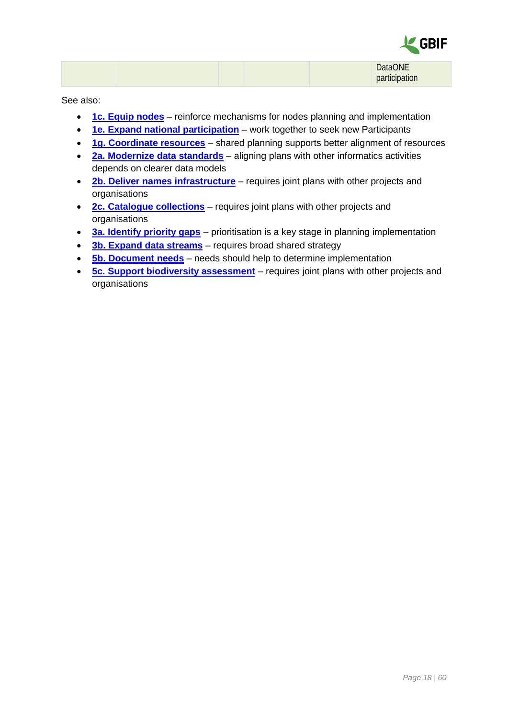

|  |  | <b>DataONE</b> |
|--|--|----------------|
|  |  | participation  |

- **[1c. Equip nodes](#page-10-0)** reinforce mechanisms for nodes planning and implementation
- **[1e. Expand national participation](#page-14-0)** work together to seek new Participants
- **[1g. Coordinate resources](#page-18-0)** shared planning supports better alignment of resources
- **2a. Modernize [data standards](#page-20-1)** aligning plans with other informatics activities depends on clearer data models
- **[2b. Deliver names infrastructure](#page-22-0)** requires joint plans with other projects and organisations
- **[2c. Catalogue collections](#page-25-0)** requires joint plans with other projects and organisations
- **[3a. Identify priority gaps](#page-27-1)** prioritisation is a key stage in planning implementation
- **[3b. Expand data streams](#page-29-0)** requires broad shared strategy
- **[5b. Document needs](#page-43-0)** needs should help to determine implementation
- **[5c. Support biodiversity assessment](#page-45-0)** requires joint plans with other projects and organisations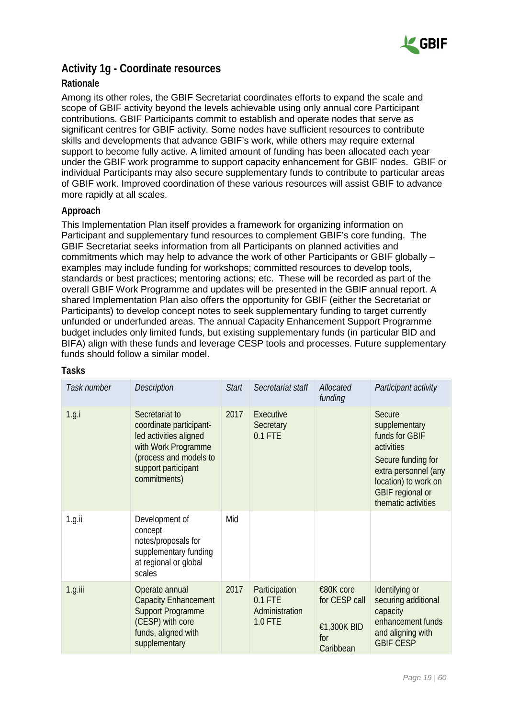

### <span id="page-18-0"></span>**Activity 1g - Coordinate resources**

#### **Rationale**

Among its other roles, the GBIF Secretariat coordinates efforts to expand the scale and scope of GBIF activity beyond the levels achievable using only annual core Participant contributions. GBIF Participants commit to establish and operate nodes that serve as significant centres for GBIF activity. Some nodes have sufficient resources to contribute skills and developments that advance GBIF's work, while others may require external support to become fully active. A limited amount of funding has been allocated each year under the GBIF work programme to support capacity enhancement for GBIF nodes. GBIF or individual Participants may also secure supplementary funds to contribute to particular areas of GBIF work. Improved coordination of these various resources will assist GBIF to advance more rapidly at all scales.

#### **Approach**

This Implementation Plan itself provides a framework for organizing information on Participant and supplementary fund resources to complement GBIF's core funding. The GBIF Secretariat seeks information from all Participants on planned activities and commitments which may help to advance the work of other Participants or GBIF globally – examples may include funding for workshops; committed resources to develop tools, standards or best practices; mentoring actions; etc. These will be recorded as part of the overall GBIF Work Programme and updates will be presented in the GBIF annual report. A shared Implementation Plan also offers the opportunity for GBIF (either the Secretariat or Participants) to develop concept notes to seek supplementary funding to target currently unfunded or underfunded areas. The annual Capacity Enhancement Support Programme budget includes only limited funds, but existing supplementary funds (in particular BID and BIFA) align with these funds and leverage CESP tools and processes. Future supplementary funds should follow a similar model.

| Task number | <b>Description</b>                                                                                                                                          | <b>Start</b> | Secretariat staff                                       | Allocated<br>funding                                          | Participant activity                                                                                                                                                     |
|-------------|-------------------------------------------------------------------------------------------------------------------------------------------------------------|--------------|---------------------------------------------------------|---------------------------------------------------------------|--------------------------------------------------------------------------------------------------------------------------------------------------------------------------|
| 1.g.i       | Secretariat to<br>coordinate participant-<br>led activities aligned<br>with Work Programme<br>(process and models to<br>support participant<br>commitments) | 2017         | Executive<br>Secretary<br>$0.1$ FTE                     |                                                               | Secure<br>supplementary<br>funds for GBIF<br>activities<br>Secure funding for<br>extra personnel (any<br>location) to work on<br>GBIF regional or<br>thematic activities |
| $1.g.$ ii   | Development of<br>concept<br>notes/proposals for<br>supplementary funding<br>at regional or global<br>scales                                                | Mid          |                                                         |                                                               |                                                                                                                                                                          |
| $1.g.$ iii  | Operate annual<br><b>Capacity Enhancement</b><br><b>Support Programme</b><br>(CESP) with core<br>funds, aligned with<br>supplementary                       | 2017         | Participation<br>$0.1$ FTE<br>Administration<br>1.0 FTE | €80K core<br>for CESP call<br>€1,300K BID<br>for<br>Caribbean | Identifying or<br>securing additional<br>capacity<br>enhancement funds<br>and aligning with<br><b>GBIF CESP</b>                                                          |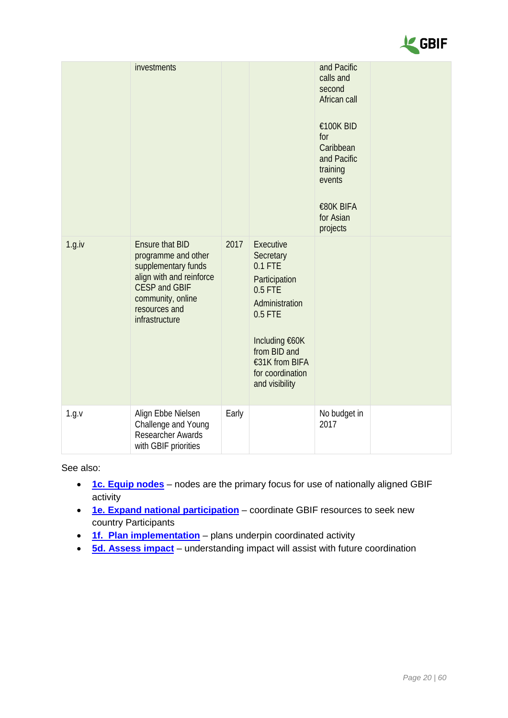

|        | investments                                                                                                                                                                      |       |                                                                                                                                                                                          | and Pacific<br>calls and<br>second<br>African call<br>€100K BID<br>for<br>Caribbean<br>and Pacific<br>training<br>events<br>€80K BIFA<br>for Asian<br>projects |  |
|--------|----------------------------------------------------------------------------------------------------------------------------------------------------------------------------------|-------|------------------------------------------------------------------------------------------------------------------------------------------------------------------------------------------|----------------------------------------------------------------------------------------------------------------------------------------------------------------|--|
| 1.g.iv | <b>Ensure that BID</b><br>programme and other<br>supplementary funds<br>align with and reinforce<br><b>CESP and GBIF</b><br>community, online<br>resources and<br>infrastructure | 2017  | Executive<br>Secretary<br>$0.1$ FTE<br>Participation<br>0.5 FTE<br>Administration<br>$0.5$ FTE<br>Including €60K<br>from BID and<br>€31K from BIFA<br>for coordination<br>and visibility |                                                                                                                                                                |  |
| 1.g.v  | Align Ebbe Nielsen<br>Challenge and Young<br>Researcher Awards<br>with GBIF priorities                                                                                           | Early |                                                                                                                                                                                          | No budget in<br>2017                                                                                                                                           |  |

- **[1c. Equip nodes](#page-10-0)** nodes are the primary focus for use of nationally aligned GBIF activity
- **[1e. Expand national participation](#page-14-0)** coordinate GBIF resources to seek new country Participants
- **[1f. Plan implementation](#page-16-0)** plans underpin coordinated activity
- **[5d. Assess impact](#page-47-0)** understanding impact will assist with future coordination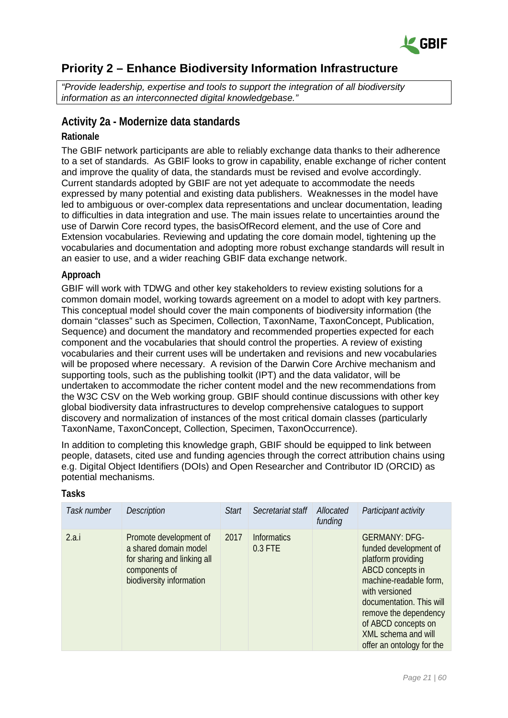

# <span id="page-20-0"></span>**Priority 2 – Enhance Biodiversity Information Infrastructure**

*"Provide leadership, expertise and tools to support the integration of all biodiversity information as an interconnected digital knowledgebase."*

### <span id="page-20-1"></span>**Activity 2a - Modernize data standards**

#### **Rationale**

The GBIF network participants are able to reliably exchange data thanks to their adherence to a set of standards. As GBIF looks to grow in capability, enable exchange of richer content and improve the quality of data, the standards must be revised and evolve accordingly. Current standards adopted by GBIF are not yet adequate to accommodate the needs expressed by many potential and existing data publishers. Weaknesses in the model have led to ambiguous or over-complex data representations and unclear documentation, leading to difficulties in data integration and use. The main issues relate to uncertainties around the use of Darwin Core record types, the basisOfRecord element, and the use of Core and Extension vocabularies. Reviewing and updating the core domain model, tightening up the vocabularies and documentation and adopting more robust exchange standards will result in an easier to use, and a wider reaching GBIF data exchange network.

#### **Approach**

GBIF will work with TDWG and other key stakeholders to review existing solutions for a common domain model, working towards agreement on a model to adopt with key partners. This conceptual model should cover the main components of biodiversity information (the domain "classes" such as Specimen, Collection, TaxonName, TaxonConcept, Publication, Sequence) and document the mandatory and recommended properties expected for each component and the vocabularies that should control the properties. A review of existing vocabularies and their current uses will be undertaken and revisions and new vocabularies will be proposed where necessary. A revision of the Darwin Core Archive mechanism and supporting tools, such as the publishing toolkit (IPT) and the data validator, will be undertaken to accommodate the richer content model and the new recommendations from the W3C CSV on the Web working group. GBIF should continue discussions with other key global biodiversity data infrastructures to develop comprehensive catalogues to support discovery and normalization of instances of the most critical domain classes (particularly TaxonName, TaxonConcept, Collection, Specimen, TaxonOccurrence).

In addition to completing this knowledge graph, GBIF should be equipped to link between people, datasets, cited use and funding agencies through the correct attribution chains using e.g. Digital Object Identifiers (DOIs) and Open Researcher and Contributor ID (ORCID) as potential mechanisms.

| Task number | <b>Description</b>                                                                                                          | <b>Start</b> | Secretariat staff             | Allocated<br>funding | Participant activity                                                                                                                                                                                                                                                |
|-------------|-----------------------------------------------------------------------------------------------------------------------------|--------------|-------------------------------|----------------------|---------------------------------------------------------------------------------------------------------------------------------------------------------------------------------------------------------------------------------------------------------------------|
| 2.a.i       | Promote development of<br>a shared domain model<br>for sharing and linking all<br>components of<br>biodiversity information | 2017         | <b>Informatics</b><br>0.3 FTE |                      | <b>GERMANY: DFG-</b><br>funded development of<br>platform providing<br>ABCD concepts in<br>machine-readable form,<br>with versioned<br>documentation. This will<br>remove the dependency<br>of ABCD concepts on<br>XML schema and will<br>offer an ontology for the |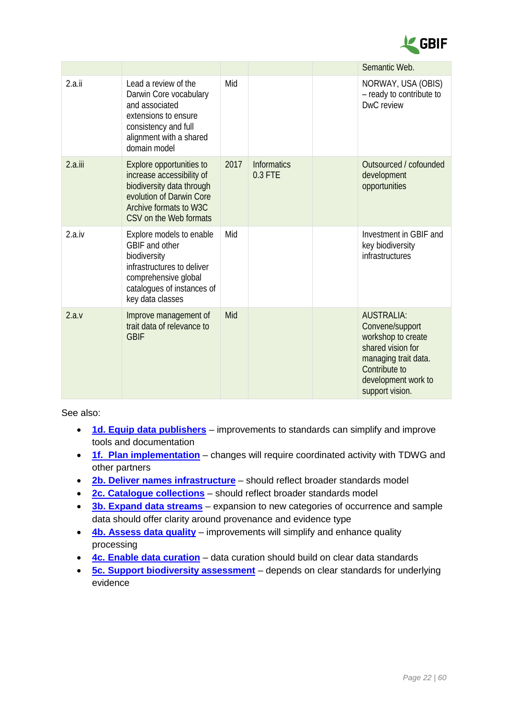

|         |                                                                                                                                                                    |      |                               | Semantic Web.                                                                                                                                                      |
|---------|--------------------------------------------------------------------------------------------------------------------------------------------------------------------|------|-------------------------------|--------------------------------------------------------------------------------------------------------------------------------------------------------------------|
| 2.a.ii  | Lead a review of the<br>Darwin Core vocabulary<br>and associated<br>extensions to ensure<br>consistency and full<br>alignment with a shared<br>domain model        | Mid  |                               | NORWAY, USA (OBIS)<br>- ready to contribute to<br>DwC review                                                                                                       |
| 2.a.iii | Explore opportunities to<br>increase accessibility of<br>biodiversity data through<br>evolution of Darwin Core<br>Archive formats to W3C<br>CSV on the Web formats | 2017 | <b>Informatics</b><br>0.3 FTE | Outsourced / cofounded<br>development<br>opportunities                                                                                                             |
| 2.a.iv  | Explore models to enable<br>GBIF and other<br>biodiversity<br>infrastructures to deliver<br>comprehensive global<br>catalogues of instances of<br>key data classes | Mid  |                               | Investment in GBIF and<br>key biodiversity<br>infrastructures                                                                                                      |
| 2.a.v   | Improve management of<br>trait data of relevance to<br><b>GBIF</b>                                                                                                 | Mid  |                               | <b>AUSTRALIA:</b><br>Convene/support<br>workshop to create<br>shared vision for<br>managing trait data.<br>Contribute to<br>development work to<br>support vision. |

- **[1d. Equip data publishers](#page-12-0)** improvements to standards can simplify and improve tools and documentation
- **[1f. Plan implementation](#page-16-0)** changes will require coordinated activity with TDWG and other partners
- **[2b. Deliver names infrastructure](#page-22-0)** should reflect broader standards model
- **[2c. Catalogue collections](#page-25-0)** should reflect broader standards model
- **[3b. Expand data streams](#page-29-0)** expansion to new categories of occurrence and sample data should offer clarity around provenance and evidence type
- **[4b. Assess data quality](#page-37-0)** improvements will simplify and enhance quality processing
- **[4c. Enable data curation](#page-39-0)** data curation should build on clear data standards
- **[5c. Support biodiversity assessment](#page-45-0)** depends on clear standards for underlying evidence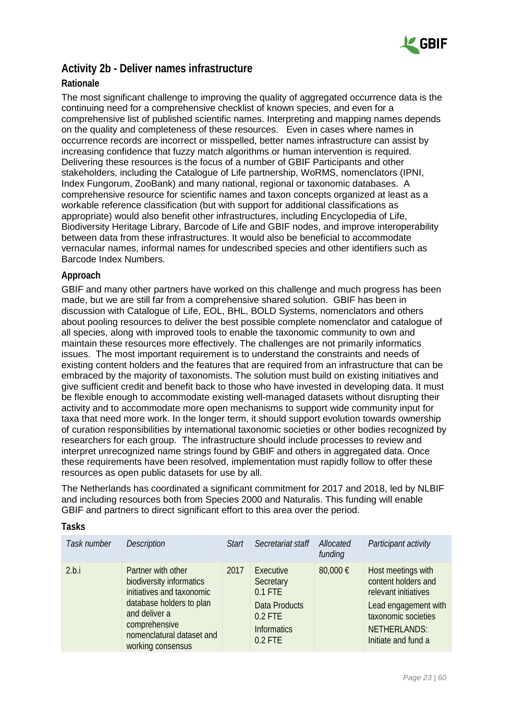

### <span id="page-22-0"></span>**Activity 2b - Deliver names infrastructure**

#### **Rationale**

The most significant challenge to improving the quality of aggregated occurrence data is the continuing need for a comprehensive checklist of known species, and even for a comprehensive list of published scientific names. Interpreting and mapping names depends on the quality and completeness of these resources. Even in cases where names in occurrence records are incorrect or misspelled, better names infrastructure can assist by increasing confidence that fuzzy match algorithms or human intervention is required. Delivering these resources is the focus of a number of GBIF Participants and other stakeholders, including the Catalogue of Life partnership, WoRMS, nomenclators (IPNI, Index Fungorum, ZooBank) and many national, regional or taxonomic databases. A comprehensive resource for scientific names and taxon concepts organized at least as a workable reference classification (but with support for additional classifications as appropriate) would also benefit other infrastructures, including Encyclopedia of Life, Biodiversity Heritage Library, Barcode of Life and GBIF nodes, and improve interoperability between data from these infrastructures. It would also be beneficial to accommodate vernacular names, informal names for undescribed species and other identifiers such as Barcode Index Numbers.

#### **Approach**

GBIF and many other partners have worked on this challenge and much progress has been made, but we are still far from a comprehensive shared solution. GBIF has been in discussion with Catalogue of Life, EOL, BHL, BOLD Systems, nomenclators and others about pooling resources to deliver the best possible complete nomenclator and catalogue of all species, along with improved tools to enable the taxonomic community to own and maintain these resources more effectively. The challenges are not primarily informatics issues. The most important requirement is to understand the constraints and needs of existing content holders and the features that are required from an infrastructure that can be embraced by the majority of taxonomists. The solution must build on existing initiatives and give sufficient credit and benefit back to those who have invested in developing data. It must be flexible enough to accommodate existing well-managed datasets without disrupting their activity and to accommodate more open mechanisms to support wide community input for taxa that need more work. In the longer term, it should support evolution towards ownership of curation responsibilities by international taxonomic societies or other bodies recognized by researchers for each group. The infrastructure should include processes to review and interpret unrecognized name strings found by GBIF and others in aggregated data. Once these requirements have been resolved, implementation must rapidly follow to offer these resources as open public datasets for use by all.

The Netherlands has coordinated a significant commitment for 2017 and 2018, led by NLBIF and including resources both from Species 2000 and Naturalis. This funding will enable GBIF and partners to direct significant effort to this area over the period.

| Task number | <b>Description</b>                                                                                                                                                                          | <b>Start</b> | Secretariat staff                                                                                    | Allocated<br>funding | Participant activity                                                                                                                                           |
|-------------|---------------------------------------------------------------------------------------------------------------------------------------------------------------------------------------------|--------------|------------------------------------------------------------------------------------------------------|----------------------|----------------------------------------------------------------------------------------------------------------------------------------------------------------|
| 2.b.i       | Partner with other<br>biodiversity informatics<br>initiatives and taxonomic<br>database holders to plan<br>and deliver a<br>comprehensive<br>nomenclatural dataset and<br>working consensus | 2017         | Executive<br>Secretary<br>$0.1$ FTE<br>Data Products<br>$0.2$ FTE<br><b>Informatics</b><br>$0.2$ FTE | 80,000 €             | Host meetings with<br>content holders and<br>relevant initiatives<br>Lead engagement with<br>taxonomic societies<br><b>NETHERLANDS:</b><br>Initiate and fund a |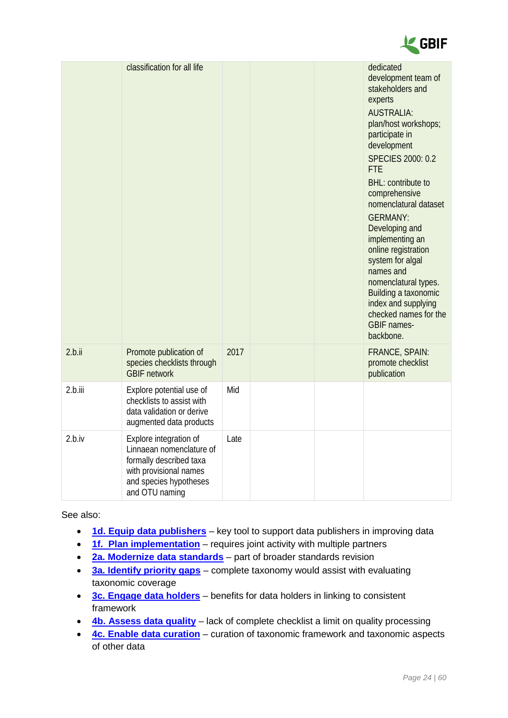

|         | classification for all life                                                                                                                         |      |  | dedicated<br>development team of<br>stakeholders and<br>experts<br><b>AUSTRALIA:</b><br>plan/host workshops;<br>participate in<br>development<br><b>SPECIES 2000: 0.2</b><br><b>FTE</b><br><b>BHL:</b> contribute to<br>comprehensive<br>nomenclatural dataset<br><b>GERMANY:</b><br>Developing and<br>implementing an<br>online registration<br>system for algal<br>names and<br>nomenclatural types.<br>Building a taxonomic<br>index and supplying<br>checked names for the<br><b>GBIF</b> names-<br>backbone. |
|---------|-----------------------------------------------------------------------------------------------------------------------------------------------------|------|--|-------------------------------------------------------------------------------------------------------------------------------------------------------------------------------------------------------------------------------------------------------------------------------------------------------------------------------------------------------------------------------------------------------------------------------------------------------------------------------------------------------------------|
| 2.b.ii  | Promote publication of<br>species checklists through<br><b>GBIF network</b>                                                                         | 2017 |  | FRANCE, SPAIN:<br>promote checklist<br>publication                                                                                                                                                                                                                                                                                                                                                                                                                                                                |
| 2.b.iii | Explore potential use of<br>checklists to assist with<br>data validation or derive<br>augmented data products                                       | Mid  |  |                                                                                                                                                                                                                                                                                                                                                                                                                                                                                                                   |
| 2.b.iv  | Explore integration of<br>Linnaean nomenclature of<br>formally described taxa<br>with provisional names<br>and species hypotheses<br>and OTU naming | Late |  |                                                                                                                                                                                                                                                                                                                                                                                                                                                                                                                   |

- **[1d. Equip data publishers](#page-12-0)** key tool to support data publishers in improving data
- **[1f. Plan implementation](#page-16-0)** requires joint activity with multiple partners
- **2a. Modernize [data standards](#page-20-1)** part of broader standards revision
- **[3a. Identify priority gaps](#page-27-1)** complete taxonomy would assist with evaluating taxonomic coverage
- **[3c. Engage data holders](#page-31-0)** benefits for data holders in linking to consistent framework
- **[4b. Assess data quality](#page-37-0)** lack of complete checklist a limit on quality processing
- **[4c. Enable data curation](#page-39-0)** curation of taxonomic framework and taxonomic aspects of other data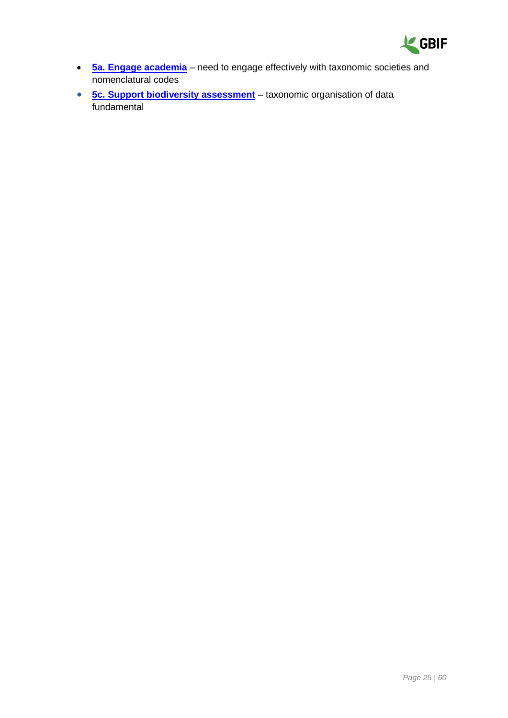

- **[5a. Engage academia](#page-41-1)** need to engage effectively with taxonomic societies and nomenclatural codes
- **[5c. Support biodiversity assessment](#page-45-0)** taxonomic organisation of data fundamental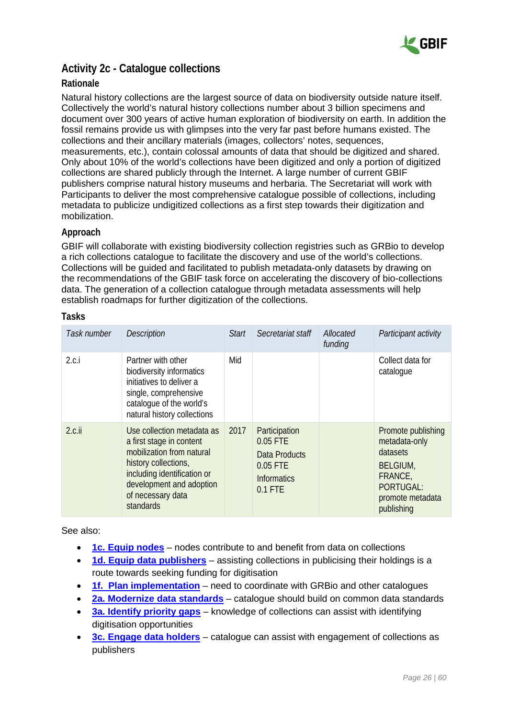

### <span id="page-25-0"></span>**Activity 2c - Catalogue collections**

#### **Rationale**

Natural history collections are the largest source of data on biodiversity outside nature itself. Collectively the world's natural history collections number about 3 billion specimens and document over 300 years of active human exploration of biodiversity on earth. In addition the fossil remains provide us with glimpses into the very far past before humans existed. The collections and their ancillary materials (images, collectors' notes, sequences, measurements, etc.), contain colossal amounts of data that should be digitized and shared. Only about 10% of the world's collections have been digitized and only a portion of digitized collections are shared publicly through the Internet. A large number of current GBIF publishers comprise natural history museums and herbaria. The Secretariat will work with Participants to deliver the most comprehensive catalogue possible of collections, including metadata to publicize undigitized collections as a first step towards their digitization and mobilization.

#### **Approach**

GBIF will collaborate with existing biodiversity collection registries such as GRBio to develop a rich collections catalogue to facilitate the discovery and use of the world's collections. Collections will be guided and facilitated to publish metadata-only datasets by drawing on the recommendations of the GBIF task force on accelerating the discovery of bio-collections data. The generation of a collection catalogue through metadata assessments will help establish roadmaps for further digitization of the collections.

| Task number | <b>Description</b>                                                                                                                                                                                       | Start | Secretariat staff                                                                  | Allocated<br>funding | Participant activity                                                                                                         |
|-------------|----------------------------------------------------------------------------------------------------------------------------------------------------------------------------------------------------------|-------|------------------------------------------------------------------------------------|----------------------|------------------------------------------------------------------------------------------------------------------------------|
| 2.c.i       | Partner with other<br>biodiversity informatics<br>initiatives to deliver a<br>single, comprehensive<br>catalogue of the world's<br>natural history collections                                           | Mid   |                                                                                    |                      | Collect data for<br>catalogue                                                                                                |
| $2.c.$ ii   | Use collection metadata as<br>a first stage in content<br>mobilization from natural<br>history collections,<br>including identification or<br>development and adoption<br>of necessary data<br>standards | 2017  | Participation<br>0.05 FTE<br>Data Products<br>0.05 FTE<br>Informatics<br>$0.1$ FTE |                      | Promote publishing<br>metadata-only<br>datasets<br><b>BELGIUM,</b><br>FRANCE,<br>PORTUGAL:<br>promote metadata<br>publishing |

#### **Tasks**

- **[1c. Equip nodes](#page-10-0)** nodes contribute to and benefit from data on collections
- **[1d. Equip data publishers](#page-12-0)** assisting collections in publicising their holdings is a route towards seeking funding for digitisation
- **[1f. Plan implementation](#page-16-0)** need to coordinate with GRBio and other catalogues
- **2a. Modernize [data standards](#page-20-1)** catalogue should build on common data standards
- **[3a. Identify priority gaps](#page-27-1)** knowledge of collections can assist with identifying digitisation opportunities
- **[3c. Engage data holders](#page-31-0)** catalogue can assist with engagement of collections as publishers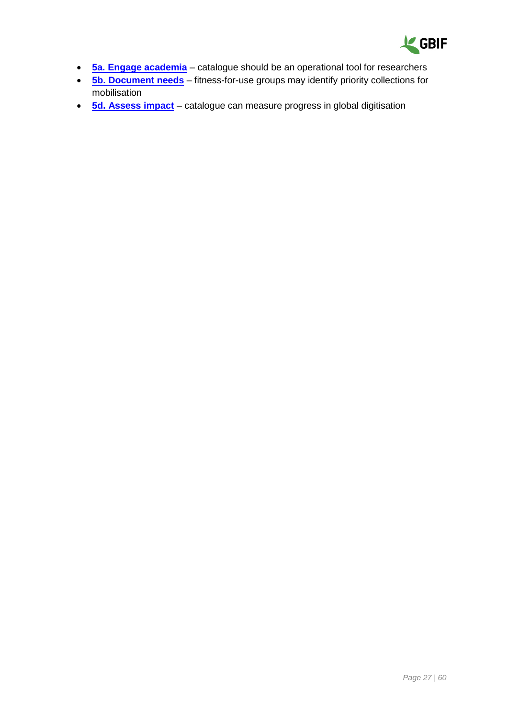

- **[5a. Engage academia](#page-41-1)** catalogue should be an operational tool for researchers
- **[5b. Document needs](#page-43-0)** fitness-for-use groups may identify priority collections for mobilisation
- **[5d. Assess impact](#page-47-0)** catalogue can measure progress in global digitisation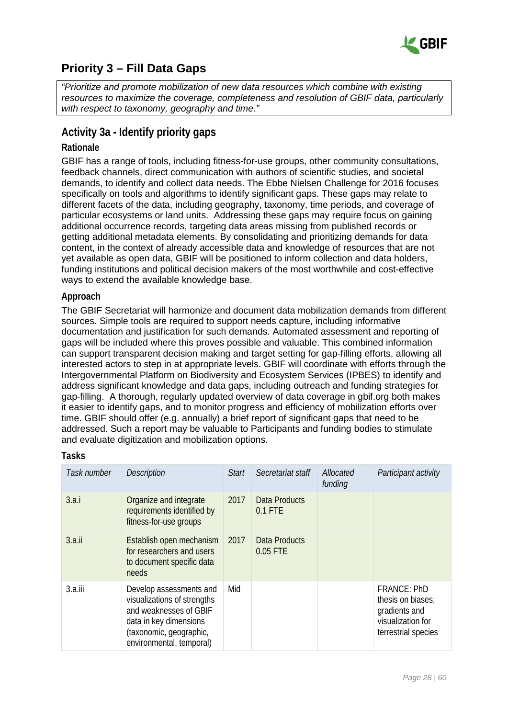

# <span id="page-27-0"></span>**Priority 3 – Fill Data Gaps**

*"Prioritize and promote mobilization of new data resources which combine with existing resources to maximize the coverage, completeness and resolution of GBIF data, particularly with respect to taxonomy, geography and time."*

### <span id="page-27-1"></span>**Activity 3a - Identify priority gaps**

#### **Rationale**

GBIF has a range of tools, including fitness-for-use groups, other community consultations, feedback channels, direct communication with authors of scientific studies, and societal demands, to identify and collect data needs. The Ebbe Nielsen Challenge for 2016 focuses specifically on tools and algorithms to identify significant gaps. These gaps may relate to different facets of the data, including geography, taxonomy, time periods, and coverage of particular ecosystems or land units. Addressing these gaps may require focus on gaining additional occurrence records, targeting data areas missing from published records or getting additional metadata elements. By consolidating and prioritizing demands for data content, in the context of already accessible data and knowledge of resources that are not yet available as open data, GBIF will be positioned to inform collection and data holders, funding institutions and political decision makers of the most worthwhile and cost-effective ways to extend the available knowledge base.

#### **Approach**

The GBIF Secretariat will harmonize and document data mobilization demands from different sources. Simple tools are required to support needs capture, including informative documentation and justification for such demands. Automated assessment and reporting of gaps will be included where this proves possible and valuable. This combined information can support transparent decision making and target setting for gap-filling efforts, allowing all interested actors to step in at appropriate levels. GBIF will coordinate with efforts through the Intergovernmental Platform on Biodiversity and Ecosystem Services (IPBES) to identify and address significant knowledge and data gaps, including outreach and funding strategies for gap-filling. A thorough, regularly updated overview of data coverage in gbif.org both makes it easier to identify gaps, and to monitor progress and efficiency of mobilization efforts over time. GBIF should offer (e.g. annually) a brief report of significant gaps that need to be addressed. Such a report may be valuable to Participants and funding bodies to stimulate and evaluate digitization and mobilization options.

| Task number | <b>Description</b>                                                                                                                                                | <b>Start</b> | Secretariat staff                 | Allocated<br>funding | Participant activity                                                                                 |
|-------------|-------------------------------------------------------------------------------------------------------------------------------------------------------------------|--------------|-----------------------------------|----------------------|------------------------------------------------------------------------------------------------------|
| 3.a.i       | Organize and integrate<br>requirements identified by<br>fitness-for-use groups                                                                                    | 2017         | <b>Data Products</b><br>$0.1$ FTE |                      |                                                                                                      |
| 3.a.ii      | Establish open mechanism<br>for researchers and users<br>to document specific data<br>needs                                                                       | 2017         | Data Products<br>0.05 FTE         |                      |                                                                                                      |
| $3.a.$ iii  | Develop assessments and<br>visualizations of strengths<br>and weaknesses of GBIF<br>data in key dimensions<br>(taxonomic, geographic,<br>environmental, temporal) | Mid          |                                   |                      | <b>FRANCE: PhD</b><br>thesis on biases,<br>gradients and<br>visualization for<br>terrestrial species |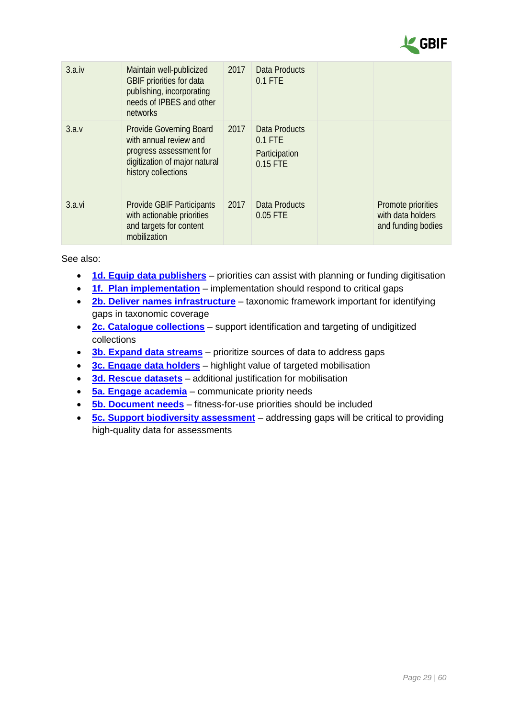

| 3.a.iv | Maintain well-publicized<br>GBIF priorities for data<br>publishing, incorporating<br>needs of IPBES and other<br>networks            | 2017 | Data Products<br>0.1 FTE                                |                                                               |
|--------|--------------------------------------------------------------------------------------------------------------------------------------|------|---------------------------------------------------------|---------------------------------------------------------------|
| 3.a.v  | Provide Governing Board<br>with annual review and<br>progress assessment for<br>digitization of major natural<br>history collections | 2017 | Data Products<br>$0.1$ FTE<br>Participation<br>0.15 FTE |                                                               |
| 3.a.vi | <b>Provide GBIF Participants</b><br>with actionable priorities<br>and targets for content<br>mobilization                            | 2017 | Data Products<br>0.05 FTE                               | Promote priorities<br>with data holders<br>and funding bodies |

- **[1d. Equip data publishers](#page-12-0)** priorities can assist with planning or funding digitisation
- **[1f. Plan implementation](#page-16-0)** implementation should respond to critical gaps
- **[2b. Deliver names infrastructure](#page-22-0)** taxonomic framework important for identifying gaps in taxonomic coverage
- **[2c. Catalogue collections](#page-25-0)** support identification and targeting of undigitized collections
- **[3b. Expand data streams](#page-29-0)** prioritize sources of data to address gaps
- **[3c. Engage data holders](#page-31-0)** highlight value of targeted mobilisation
- **[3d. Rescue datasets](#page-33-0)** additional justification for mobilisation
- **[5a. Engage academia](#page-41-1)** communicate priority needs
- **[5b. Document needs](#page-43-0)** fitness-for-use priorities should be included
- **[5c. Support biodiversity assessment](#page-45-0)** addressing gaps will be critical to providing high-quality data for assessments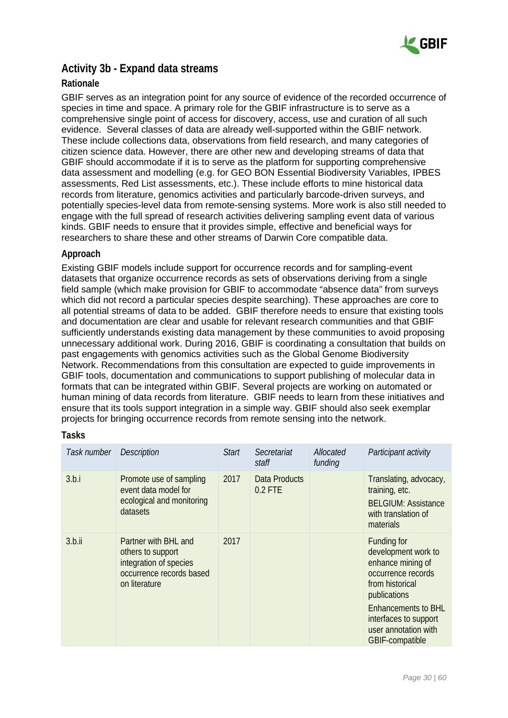

### <span id="page-29-0"></span>**Activity 3b - Expand data streams**

#### **Rationale**

GBIF serves as an integration point for any source of evidence of the recorded occurrence of species in time and space. A primary role for the GBIF infrastructure is to serve as a comprehensive single point of access for discovery, access, use and curation of all such evidence. Several classes of data are already well-supported within the GBIF network. These include collections data, observations from field research, and many categories of citizen science data. However, there are other new and developing streams of data that GBIF should accommodate if it is to serve as the platform for supporting comprehensive data assessment and modelling (e.g. for GEO BON Essential Biodiversity Variables, IPBES assessments, Red List assessments, etc.). These include efforts to mine historical data records from literature, genomics activities and particularly barcode-driven surveys, and potentially species-level data from remote-sensing systems. More work is also still needed to engage with the full spread of research activities delivering sampling event data of various kinds. GBIF needs to ensure that it provides simple, effective and beneficial ways for researchers to share these and other streams of Darwin Core compatible data.

#### **Approach**

Existing GBIF models include support for occurrence records and for sampling-event datasets that organize occurrence records as sets of observations deriving from a single field sample (which make provision for GBIF to accommodate "absence data" from surveys which did not record a particular species despite searching). These approaches are core to all potential streams of data to be added. GBIF therefore needs to ensure that existing tools and documentation are clear and usable for relevant research communities and that GBIF sufficiently understands existing data management by these communities to avoid proposing unnecessary additional work. During 2016, GBIF is coordinating a consultation that builds on past engagements with genomics activities such as the Global Genome Biodiversity Network. Recommendations from this consultation are expected to guide improvements in GBIF tools, documentation and communications to support publishing of molecular data in formats that can be integrated within GBIF. Several projects are working on automated or human mining of data records from literature. GBIF needs to learn from these initiatives and ensure that its tools support integration in a simple way. GBIF should also seek exemplar projects for bringing occurrence records from remote sensing into the network.

| Task number | <b>Description</b>                                                                                               | <b>Start</b> | Secretariat<br>staff       | Allocated<br>funding | Participant activity                                                                                                                                                                                                      |
|-------------|------------------------------------------------------------------------------------------------------------------|--------------|----------------------------|----------------------|---------------------------------------------------------------------------------------------------------------------------------------------------------------------------------------------------------------------------|
| 3.b.i       | Promote use of sampling<br>event data model for<br>ecological and monitoring<br>datasets                         | 2017         | Data Products<br>$0.2$ FTE |                      | Translating, advocacy,<br>training, etc.<br><b>BELGIUM: Assistance</b><br>with translation of<br>materials                                                                                                                |
| 3.b.ii      | Partner with BHI and<br>others to support<br>integration of species<br>occurrence records based<br>on literature | 2017         |                            |                      | Funding for<br>development work to<br>enhance mining of<br>occurrence records<br>from historical<br>publications<br><b>Enhancements to BHL</b><br>interfaces to support<br>user annotation with<br><b>GBIF-compatible</b> |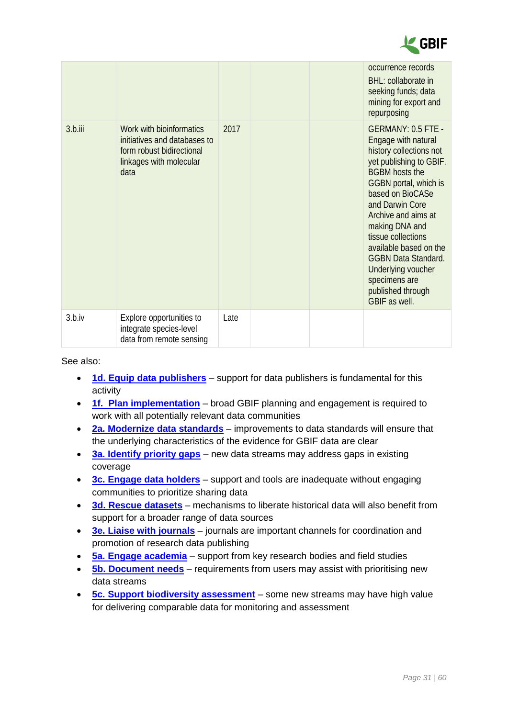

|         |                                                                                                                          |      |  | occurrence records<br>BHL: collaborate in<br>seeking funds; data<br>mining for export and<br>repurposing                                                                                                                                                                                                                                                                                            |
|---------|--------------------------------------------------------------------------------------------------------------------------|------|--|-----------------------------------------------------------------------------------------------------------------------------------------------------------------------------------------------------------------------------------------------------------------------------------------------------------------------------------------------------------------------------------------------------|
| 3.b.iii | Work with bioinformatics<br>initiatives and databases to<br>form robust bidirectional<br>linkages with molecular<br>data | 2017 |  | <b>GERMANY: 0.5 FTE -</b><br>Engage with natural<br>history collections not<br>yet publishing to GBIF.<br><b>BGBM hosts the</b><br>GGBN portal, which is<br>based on BioCASe<br>and Darwin Core<br>Archive and aims at<br>making DNA and<br>tissue collections<br>available based on the<br><b>GGBN Data Standard.</b><br>Underlying voucher<br>specimens are<br>published through<br>GBIF as well. |
| 3.b.iv  | Explore opportunities to<br>integrate species-level<br>data from remote sensing                                          | Late |  |                                                                                                                                                                                                                                                                                                                                                                                                     |

- **[1d. Equip data publishers](#page-12-0)** support for data publishers is fundamental for this activity
- **[1f. Plan implementation](#page-16-0)** broad GBIF planning and engagement is required to work with all potentially relevant data communities
- **2a. Modernize [data standards](#page-20-1)** improvements to data standards will ensure that the underlying characteristics of the evidence for GBIF data are clear
- **[3a. Identify priority gaps](#page-27-1)** new data streams may address gaps in existing coverage
- **[3c. Engage data holders](#page-31-0)** support and tools are inadequate without engaging communities to prioritize sharing data
- **[3d. Rescue datasets](#page-33-0)** mechanisms to liberate historical data will also benefit from support for a broader range of data sources
- **[3e. Liaise with journals](#page-34-0)** journals are important channels for coordination and promotion of research data publishing
- **[5a. Engage academia](#page-41-1)** support from key research bodies and field studies
- **[5b. Document needs](#page-43-0)** requirements from users may assist with prioritising new data streams
- **[5c. Support biodiversity assessment](#page-45-0)** some new streams may have high value for delivering comparable data for monitoring and assessment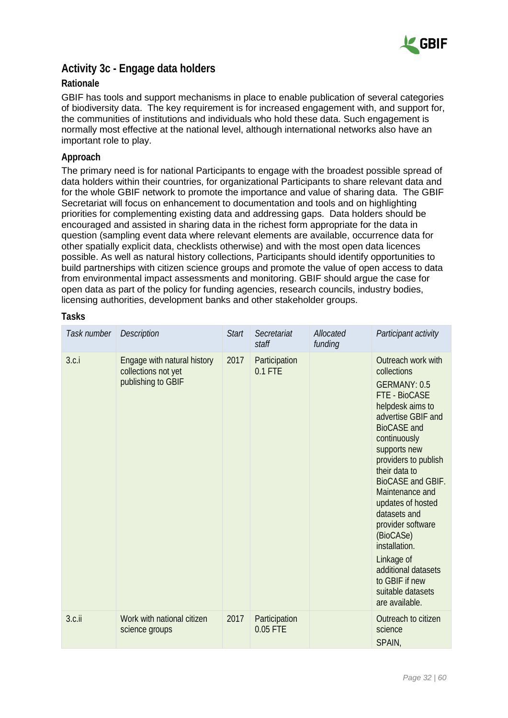

### <span id="page-31-0"></span>**Activity 3c - Engage data holders**

#### **Rationale**

GBIF has tools and support mechanisms in place to enable publication of several categories of biodiversity data. The key requirement is for increased engagement with, and support for, the communities of institutions and individuals who hold these data. Such engagement is normally most effective at the national level, although international networks also have an important role to play.

#### **Approach**

The primary need is for national Participants to engage with the broadest possible spread of data holders within their countries, for organizational Participants to share relevant data and for the whole GBIF network to promote the importance and value of sharing data. The GBIF Secretariat will focus on enhancement to documentation and tools and on highlighting priorities for complementing existing data and addressing gaps. Data holders should be encouraged and assisted in sharing data in the richest form appropriate for the data in question (sampling event data where relevant elements are available, occurrence data for other spatially explicit data, checklists otherwise) and with the most open data licences possible. As well as natural history collections, Participants should identify opportunities to build partnerships with citizen science groups and promote the value of open access to data from environmental impact assessments and monitoring. GBIF should argue the case for open data as part of the policy for funding agencies, research councils, industry bodies, licensing authorities, development banks and other stakeholder groups.

| Task number | <b>Description</b>                                                       | <b>Start</b> | Secretariat<br>staff       | Allocated<br>funding | Participant activity                                                                                                                                                                                                                                                                                                                                                                                                                      |
|-------------|--------------------------------------------------------------------------|--------------|----------------------------|----------------------|-------------------------------------------------------------------------------------------------------------------------------------------------------------------------------------------------------------------------------------------------------------------------------------------------------------------------------------------------------------------------------------------------------------------------------------------|
| 3.c.i       | Engage with natural history<br>collections not yet<br>publishing to GBIF | 2017         | Participation<br>$0.1$ FTE |                      | Outreach work with<br>collections<br>GERMANY: 0.5<br>FTE - BioCASE<br>helpdesk aims to<br>advertise GBIF and<br><b>BioCASE</b> and<br>continuously<br>supports new<br>providers to publish<br>their data to<br>BioCASE and GBIF.<br>Maintenance and<br>updates of hosted<br>datasets and<br>provider software<br>(BioCASe)<br>installation.<br>Linkage of<br>additional datasets<br>to GBIF if new<br>suitable datasets<br>are available. |
| 3.c.ii      | Work with national citizen<br>science groups                             | 2017         | Participation<br>0.05 FTE  |                      | Outreach to citizen<br>science<br>SPAIN,                                                                                                                                                                                                                                                                                                                                                                                                  |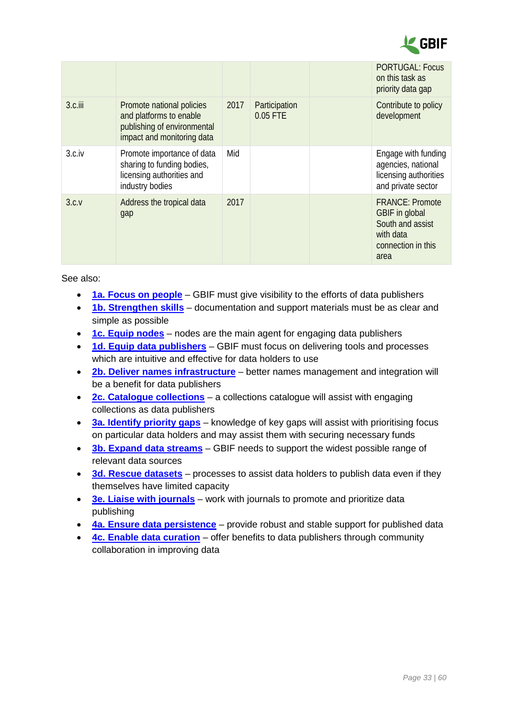

|         |                                                                                                                   |      |                           | <b>PORTUGAL: Focus</b><br>on this task as<br>priority data gap                                          |
|---------|-------------------------------------------------------------------------------------------------------------------|------|---------------------------|---------------------------------------------------------------------------------------------------------|
| 3.c.iii | Promote national policies<br>and platforms to enable<br>publishing of environmental<br>impact and monitoring data | 2017 | Participation<br>0.05 FTE | Contribute to policy<br>development                                                                     |
| 3.c.iv  | Promote importance of data<br>sharing to funding bodies,<br>licensing authorities and<br>industry bodies          | Mid  |                           | Engage with funding<br>agencies, national<br>licensing authorities<br>and private sector                |
| 3.c.v   | Address the tropical data<br>gap                                                                                  | 2017 |                           | <b>FRANCE: Promote</b><br>GBIF in global<br>South and assist<br>with data<br>connection in this<br>area |

- **[1a. Focus on people](#page-6-1)** GBIF must give visibility to the efforts of data publishers
- **[1b. Strengthen skills](#page-8-0)** documentation and support materials must be as clear and simple as possible
- **[1c. Equip nodes](#page-10-0)** nodes are the main agent for engaging data publishers
- **[1d. Equip data publishers](#page-12-0)** GBIF must focus on delivering tools and processes which are intuitive and effective for data holders to use
- **[2b. Deliver names infrastructure](#page-22-0)** better names management and integration will be a benefit for data publishers
- **[2c. Catalogue collections](#page-25-0)** a collections catalogue will assist with engaging collections as data publishers
- **[3a. Identify priority gaps](#page-27-1)** knowledge of key gaps will assist with prioritising focus on particular data holders and may assist them with securing necessary funds
- **[3b. Expand data streams](#page-29-0)** GBIF needs to support the widest possible range of relevant data sources
- **[3d. Rescue datasets](#page-33-0)** processes to assist data holders to publish data even if they themselves have limited capacity
- **[3e. Liaise with journals](#page-34-0)** work with journals to promote and prioritize data publishing
- **[4a. Ensure data persistence](#page-36-1)** provide robust and stable support for published data
- **[4c. Enable data curation](#page-39-0)** offer benefits to data publishers through community collaboration in improving data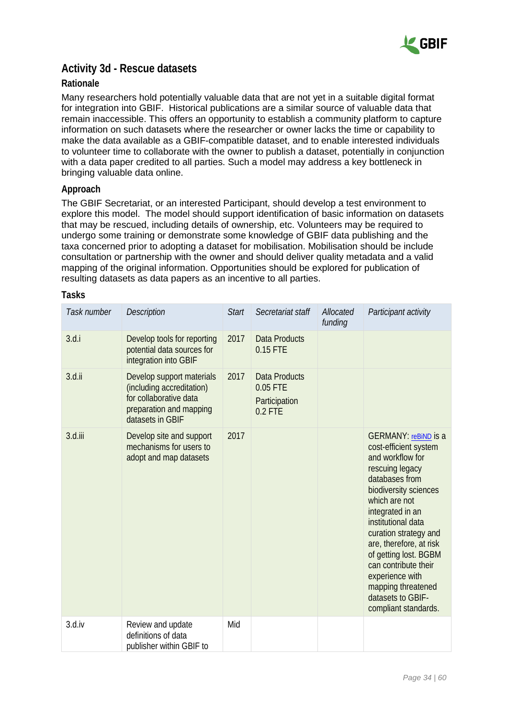

### <span id="page-33-0"></span>**Activity 3d - Rescue datasets**

#### **Rationale**

Many researchers hold potentially valuable data that are not yet in a suitable digital format for integration into GBIF. Historical publications are a similar source of valuable data that remain inaccessible. This offers an opportunity to establish a community platform to capture information on such datasets where the researcher or owner lacks the time or capability to make the data available as a GBIF-compatible dataset, and to enable interested individuals to volunteer time to collaborate with the owner to publish a dataset, potentially in conjunction with a data paper credited to all parties. Such a model may address a key bottleneck in bringing valuable data online.

#### **Approach**

The GBIF Secretariat, or an interested Participant, should develop a test environment to explore this model. The model should support identification of basic information on datasets that may be rescued, including details of ownership, etc. Volunteers may be required to undergo some training or demonstrate some knowledge of GBIF data publishing and the taxa concerned prior to adopting a dataset for mobilisation. Mobilisation should be include consultation or partnership with the owner and should deliver quality metadata and a valid mapping of the original information. Opportunities should be explored for publication of resulting datasets as data papers as an incentive to all parties.

| Task number | Description                                                                                                                     | <b>Start</b> | Secretariat staff                                              | Allocated<br>funding | Participant activity                                                                                                                                                                                                                                                                                                                                                                         |
|-------------|---------------------------------------------------------------------------------------------------------------------------------|--------------|----------------------------------------------------------------|----------------------|----------------------------------------------------------------------------------------------------------------------------------------------------------------------------------------------------------------------------------------------------------------------------------------------------------------------------------------------------------------------------------------------|
| 3.d.i       | Develop tools for reporting<br>potential data sources for<br>integration into GBIF                                              | 2017         | <b>Data Products</b><br>0.15 FTE                               |                      |                                                                                                                                                                                                                                                                                                                                                                                              |
| $3.d.$ ii   | Develop support materials<br>(including accreditation)<br>for collaborative data<br>preparation and mapping<br>datasets in GBIF | 2017         | <b>Data Products</b><br>0.05 FTE<br>Participation<br>$0.2$ FTE |                      |                                                                                                                                                                                                                                                                                                                                                                                              |
| 3.d.iii     | Develop site and support<br>mechanisms for users to<br>adopt and map datasets                                                   | 2017         |                                                                |                      | <b>GERMANY: reBiND IS a</b><br>cost-efficient system<br>and workflow for<br>rescuing legacy<br>databases from<br>biodiversity sciences<br>which are not<br>integrated in an<br>institutional data<br>curation strategy and<br>are, therefore, at risk<br>of getting lost. BGBM<br>can contribute their<br>experience with<br>mapping threatened<br>datasets to GBIF-<br>compliant standards. |
| 3.d.iv      | Review and update<br>definitions of data<br>publisher within GBIF to                                                            | Mid          |                                                                |                      |                                                                                                                                                                                                                                                                                                                                                                                              |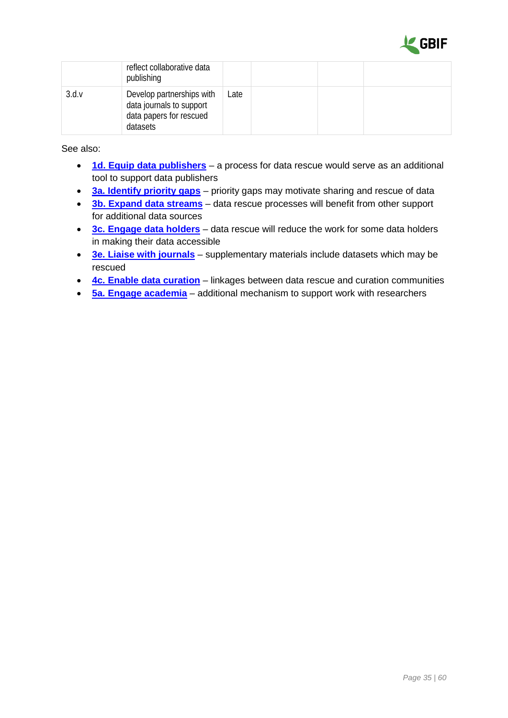

|       | reflect collaborative data<br>publishing                                                     |      |  |  |
|-------|----------------------------------------------------------------------------------------------|------|--|--|
| 3.d.v | Develop partnerships with<br>data journals to support<br>data papers for rescued<br>datasets | Late |  |  |

- **[1d. Equip data publishers](#page-12-0)** a process for data rescue would serve as an additional tool to support data publishers
- **[3a. Identify priority gaps](#page-27-1)** priority gaps may motivate sharing and rescue of data
- **[3b. Expand data streams](#page-29-0)** data rescue processes will benefit from other support for additional data sources
- **[3c. Engage data holders](#page-31-0)** data rescue will reduce the work for some data holders in making their data accessible
- **[3e. Liaise with journals](#page-34-0)** supplementary materials include datasets which may be rescued
- **[4c. Enable data curation](#page-39-0)** linkages between data rescue and curation communities
- <span id="page-34-0"></span>• **[5a. Engage academia](#page-41-1)** – additional mechanism to support work with researchers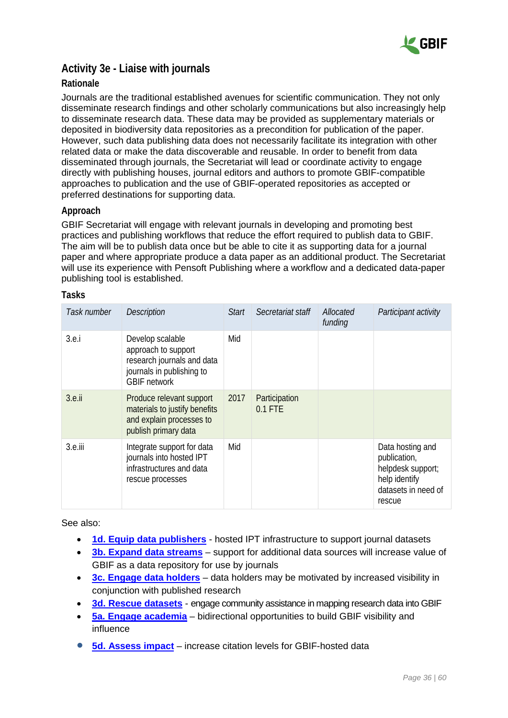

### **Activity 3e - Liaise with journals**

#### **Rationale**

Journals are the traditional established avenues for scientific communication. They not only disseminate research findings and other scholarly communications but also increasingly help to disseminate research data. These data may be provided as supplementary materials or deposited in biodiversity data repositories as a precondition for publication of the paper. However, such data publishing data does not necessarily facilitate its integration with other related data or make the data discoverable and reusable. In order to benefit from data disseminated through journals, the Secretariat will lead or coordinate activity to engage directly with publishing houses, journal editors and authors to promote GBIF-compatible approaches to publication and the use of GBIF-operated repositories as accepted or preferred destinations for supporting data.

#### **Approach**

GBIF Secretariat will engage with relevant journals in developing and promoting best practices and publishing workflows that reduce the effort required to publish data to GBIF. The aim will be to publish data once but be able to cite it as supporting data for a journal paper and where appropriate produce a data paper as an additional product. The Secretariat will use its experience with Pensoft Publishing where a workflow and a dedicated data-paper publishing tool is established.

| Task number | <b>Description</b>                                                                                                        | <b>Start</b> | Secretariat staff          | Allocated<br>funding | Participant activity                                                                                    |
|-------------|---------------------------------------------------------------------------------------------------------------------------|--------------|----------------------------|----------------------|---------------------------------------------------------------------------------------------------------|
| 3.e.1       | Develop scalable<br>approach to support<br>research journals and data<br>journals in publishing to<br><b>GBIF</b> network | Mid          |                            |                      |                                                                                                         |
| $3.e.$ ii   | Produce relevant support<br>materials to justify benefits<br>and explain processes to<br>publish primary data             | 2017         | Participation<br>$0.1$ FTE |                      |                                                                                                         |
| 3.e.iii     | Integrate support for data<br>journals into hosted IPT<br>infrastructures and data<br>rescue processes                    | Mid          |                            |                      | Data hosting and<br>publication,<br>helpdesk support;<br>help identify<br>datasets in need of<br>rescue |

#### **Tasks**

- **[1d. Equip data publishers](#page-12-0)** hosted IPT infrastructure to support journal datasets
- **[3b. Expand data streams](#page-29-0)** support for additional data sources will increase value of GBIF as a data repository for use by journals
- **[3c. Engage data holders](#page-31-0)** data holders may be motivated by increased visibility in conjunction with published research
- **[3d. Rescue datasets](#page-33-0)** engage community assistance in mapping research data into GBIF
- **[5a. Engage academia](#page-41-1)** bidirectional opportunities to build GBIF visibility and influence
- **[5d. Assess impact](#page-47-0)** increase citation levels for GBIF-hosted data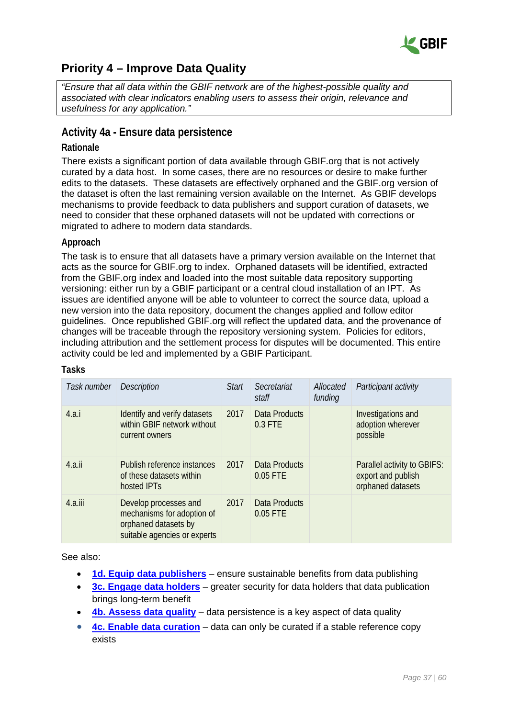

# <span id="page-36-0"></span>**Priority 4 – Improve Data Quality**

*"Ensure that all data within the GBIF network are of the highest-possible quality and associated with clear indicators enabling users to assess their origin, relevance and usefulness for any application."*

### <span id="page-36-1"></span>**Activity 4a - Ensure data persistence**

#### **Rationale**

There exists a significant portion of data available through GBIF.org that is not actively curated by a data host. In some cases, there are no resources or desire to make further edits to the datasets. These datasets are effectively orphaned and the GBIF.org version of the dataset is often the last remaining version available on the Internet. As GBIF develops mechanisms to provide feedback to data publishers and support curation of datasets, we need to consider that these orphaned datasets will not be updated with corrections or migrated to adhere to modern data standards.

#### **Approach**

The task is to ensure that all datasets have a primary version available on the Internet that acts as the source for GBIF.org to index. Orphaned datasets will be identified, extracted from the GBIF.org index and loaded into the most suitable data repository supporting versioning: either run by a GBIF participant or a central cloud installation of an IPT. As issues are identified anyone will be able to volunteer to correct the source data, upload a new version into the data repository, document the changes applied and follow editor guidelines. Once republished GBIF.org will reflect the updated data, and the provenance of changes will be traceable through the repository versioning system. Policies for editors, including attribution and the settlement process for disputes will be documented. This entire activity could be led and implemented by a GBIF Participant.

| Task number | <b>Description</b>                                                                                          | <b>Start</b> | Secretariat<br>staff            | Allocated<br>funding | Participant activity                                                   |
|-------------|-------------------------------------------------------------------------------------------------------------|--------------|---------------------------------|----------------------|------------------------------------------------------------------------|
| 4.a.i       | Identify and verify datasets<br>within GBIF network without<br>current owners                               | 2017         | <b>Data Products</b><br>0.3 FTE |                      | Investigations and<br>adoption wherever<br>possible                    |
| 4.a.ii      | Publish reference instances<br>of these datasets within<br>hosted <b>IPTs</b>                               | 2017         | Data Products<br>0.05 FTE       |                      | Parallel activity to GBIFS:<br>export and publish<br>orphaned datasets |
| $4.a.$ iii  | Develop processes and<br>mechanisms for adoption of<br>orphaned datasets by<br>suitable agencies or experts | 2017         | Data Products<br>0.05 FTE       |                      |                                                                        |

#### **Tasks**

- **[1d. Equip data publishers](#page-12-0)** ensure sustainable benefits from data publishing
- **[3c. Engage data holders](#page-31-0)** greater security for data holders that data publication brings long-term benefit
- **[4b. Assess data quality](#page-37-0)** data persistence is a key aspect of data quality
- **[4c. Enable data curation](#page-39-0)** data can only be curated if a stable reference copy exists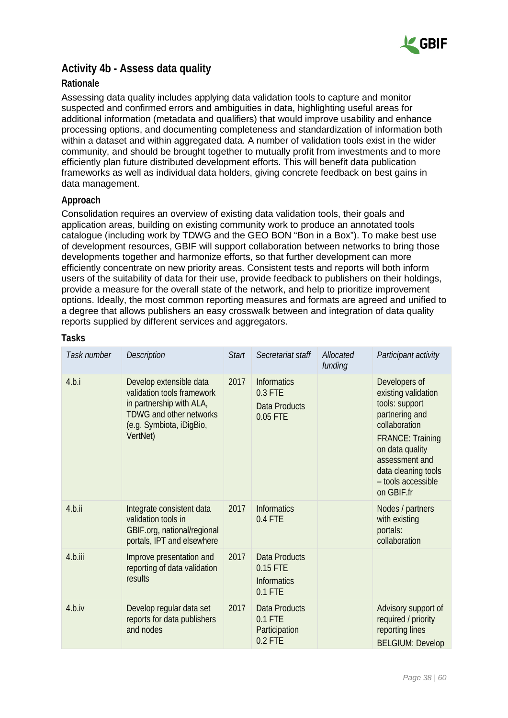

### <span id="page-37-0"></span>**Activity 4b - Assess data quality**

#### **Rationale**

Assessing data quality includes applying data validation tools to capture and monitor suspected and confirmed errors and ambiguities in data, highlighting useful areas for additional information (metadata and qualifiers) that would improve usability and enhance processing options, and documenting completeness and standardization of information both within a dataset and within aggregated data. A number of validation tools exist in the wider community, and should be brought together to mutually profit from investments and to more efficiently plan future distributed development efforts. This will benefit data publication frameworks as well as individual data holders, giving concrete feedback on best gains in data management.

#### **Approach**

Consolidation requires an overview of existing data validation tools, their goals and application areas, building on existing community work to produce an annotated tools catalogue (including work by TDWG and the GEO BON "Bon in a Box"). To make best use of development resources, GBIF will support collaboration between networks to bring those developments together and harmonize efforts, so that further development can more efficiently concentrate on new priority areas. Consistent tests and reports will both inform users of the suitability of data for their use, provide feedback to publishers on their holdings, provide a measure for the overall state of the network, and help to prioritize improvement options. Ideally, the most common reporting measures and formats are agreed and unified to a degree that allows publishers an easy crosswalk between and integration of data quality reports supplied by different services and aggregators.

| Task number | <b>Description</b>                                                                                                                                          | <b>Start</b> | Secretariat staff                                                   | Allocated<br>funding | Participant activity                                                                                                                                                                                                 |
|-------------|-------------------------------------------------------------------------------------------------------------------------------------------------------------|--------------|---------------------------------------------------------------------|----------------------|----------------------------------------------------------------------------------------------------------------------------------------------------------------------------------------------------------------------|
| 4.b.i       | Develop extensible data<br>validation tools framework<br>in partnership with ALA,<br><b>TDWG and other networks</b><br>(e.g. Symbiota, iDigBio,<br>VertNet) | 2017         | <b>Informatics</b><br>$0.3$ FTE<br><b>Data Products</b><br>0.05 FTE |                      | Developers of<br>existing validation<br>tools: support<br>partnering and<br>collaboration<br><b>FRANCE: Training</b><br>on data quality<br>assessment and<br>data cleaning tools<br>- tools accessible<br>on GBIF.fr |
| 4.b.ii      | Integrate consistent data<br>validation tools in<br>GBIF org, national/regional<br>portals, IPT and elsewhere                                               | 2017         | <b>Informatics</b><br>$0.4$ FTE                                     |                      | Nodes / partners<br>with existing<br>portals:<br>collaboration                                                                                                                                                       |
| 4.b.iii     | Improve presentation and<br>reporting of data validation<br>results                                                                                         | 2017         | <b>Data Products</b><br>0.15 FTE<br><b>Informatics</b><br>$0.1$ FTE |                      |                                                                                                                                                                                                                      |
| 4.b.iv      | Develop regular data set<br>reports for data publishers<br>and nodes                                                                                        | 2017         | <b>Data Products</b><br>$0.1$ FTE<br>Participation<br>$0.2$ FTE     |                      | Advisory support of<br>required / priority<br>reporting lines<br><b>BELGIUM: Develop</b>                                                                                                                             |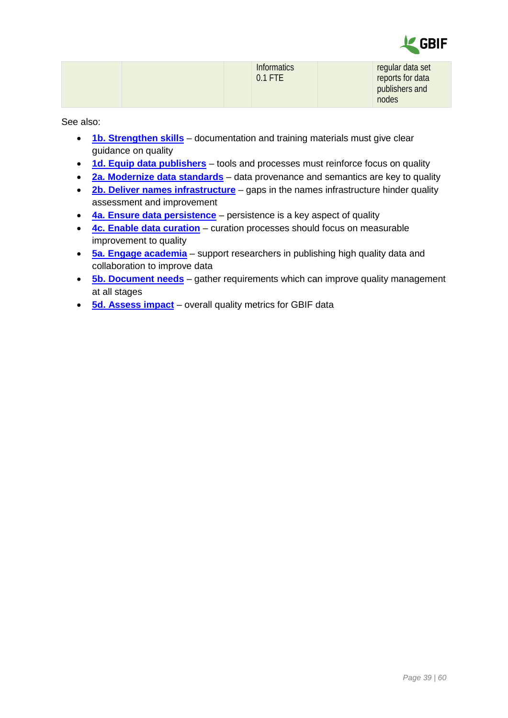

| regular data set<br>reports for data<br>publishers and |
|--------------------------------------------------------|
| nodes                                                  |

- **[1b. Strengthen skills](#page-8-0)** documentation and training materials must give clear guidance on quality
- **[1d. Equip data publishers](#page-12-0)** tools and processes must reinforce focus on quality
- **2a. Modernize [data standards](#page-20-1)** data provenance and semantics are key to quality
- **[2b. Deliver names infrastructure](#page-22-0)** gaps in the names infrastructure hinder quality assessment and improvement
- **[4a. Ensure data persistence](#page-36-1)** persistence is a key aspect of quality
- **[4c. Enable data curation](#page-39-0)** curation processes should focus on measurable improvement to quality
- **[5a. Engage academia](#page-41-1)** support researchers in publishing high quality data and collaboration to improve data
- **[5b. Document needs](#page-43-0)** gather requirements which can improve quality management at all stages
- **[5d. Assess impact](#page-47-0)** overall quality metrics for GBIF data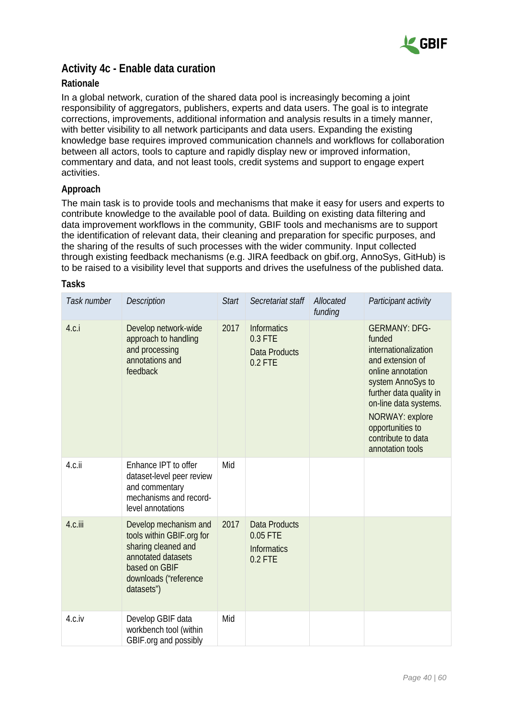

### <span id="page-39-0"></span>**Activity 4c - Enable data curation**

#### **Rationale**

In a global network, curation of the shared data pool is increasingly becoming a joint responsibility of aggregators, publishers, experts and data users. The goal is to integrate corrections, improvements, additional information and analysis results in a timely manner, with better visibility to all network participants and data users. Expanding the existing knowledge base requires improved communication channels and workflows for collaboration between all actors, tools to capture and rapidly display new or improved information, commentary and data, and not least tools, credit systems and support to engage expert activities.

#### **Approach**

The main task is to provide tools and mechanisms that make it easy for users and experts to contribute knowledge to the available pool of data. Building on existing data filtering and data improvement workflows in the community, GBIF tools and mechanisms are to support the identification of relevant data, their cleaning and preparation for specific purposes, and the sharing of the results of such processes with the wider community. Input collected through existing feedback mechanisms (e.g. JIRA feedback on gbif.org, AnnoSys, GitHub) is to be raised to a visibility level that supports and drives the usefulness of the published data.

| Task number | <b>Description</b>                                                                                                                                      | <b>Start</b> | Secretariat staff                                                   | Allocated<br>funding | Participant activity                                                                                                                                                                                                                                      |
|-------------|---------------------------------------------------------------------------------------------------------------------------------------------------------|--------------|---------------------------------------------------------------------|----------------------|-----------------------------------------------------------------------------------------------------------------------------------------------------------------------------------------------------------------------------------------------------------|
| 4.c.i       | Develop network-wide<br>approach to handling<br>and processing<br>annotations and<br>feedback                                                           | 2017         | <b>Informatics</b><br>0.3 FTE<br><b>Data Products</b><br>$0.2$ FTE  |                      | <b>GERMANY: DFG-</b><br>funded<br>internationalization<br>and extension of<br>online annotation<br>system AnnoSys to<br>further data quality in<br>on-line data systems.<br>NORWAY: explore<br>opportunities to<br>contribute to data<br>annotation tools |
| 4.c.ii      | Enhance IPT to offer<br>dataset-level peer review<br>and commentary<br>mechanisms and record-<br>level annotations                                      | Mid          |                                                                     |                      |                                                                                                                                                                                                                                                           |
| 4.c.iii     | Develop mechanism and<br>tools within GBIF.org for<br>sharing cleaned and<br>annotated datasets<br>based on GBIF<br>downloads ("reference<br>datasets") | 2017         | <b>Data Products</b><br>0.05 FTE<br><b>Informatics</b><br>$0.2$ FTE |                      |                                                                                                                                                                                                                                                           |
| 4.c.iv      | Develop GBIF data<br>workbench tool (within<br>GBIF org and possibly                                                                                    | Mid          |                                                                     |                      |                                                                                                                                                                                                                                                           |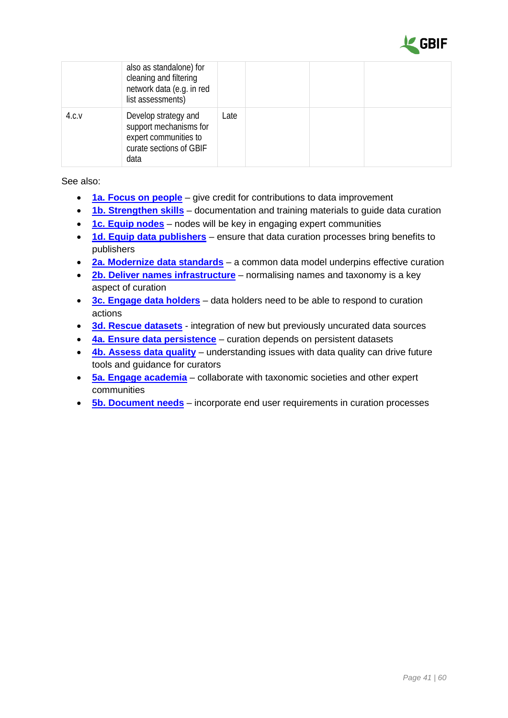

|       | also as standalone) for<br>cleaning and filtering<br>network data (e.g. in red<br>list assessments)        |      |  |  |
|-------|------------------------------------------------------------------------------------------------------------|------|--|--|
| 4.c.v | Develop strategy and<br>support mechanisms for<br>expert communities to<br>curate sections of GBIF<br>data | Late |  |  |

- **[1a. Focus on people](#page-6-1)** give credit for contributions to data improvement
- **[1b. Strengthen skills](#page-8-0)** documentation and training materials to guide data curation
- **[1c. Equip nodes](#page-10-0)** nodes will be key in engaging expert communities
- **[1d. Equip data publishers](#page-12-0)** ensure that data curation processes bring benefits to publishers
- **2a. Modernize [data standards](#page-20-1)** a common data model underpins effective curation
- **[2b. Deliver names infrastructure](#page-22-0)** normalising names and taxonomy is a key aspect of curation
- **[3c. Engage data holders](#page-31-0)** data holders need to be able to respond to curation actions
- **[3d. Rescue datasets](#page-33-0)** integration of new but previously uncurated data sources
- **[4a. Ensure data persistence](#page-36-1)** curation depends on persistent datasets
- **[4b. Assess data quality](#page-37-0)** understanding issues with data quality can drive future tools and guidance for curators
- **[5a. Engage academia](#page-41-1)** collaborate with taxonomic societies and other expert communities
- **[5b. Document needs](#page-43-0)** incorporate end user requirements in curation processes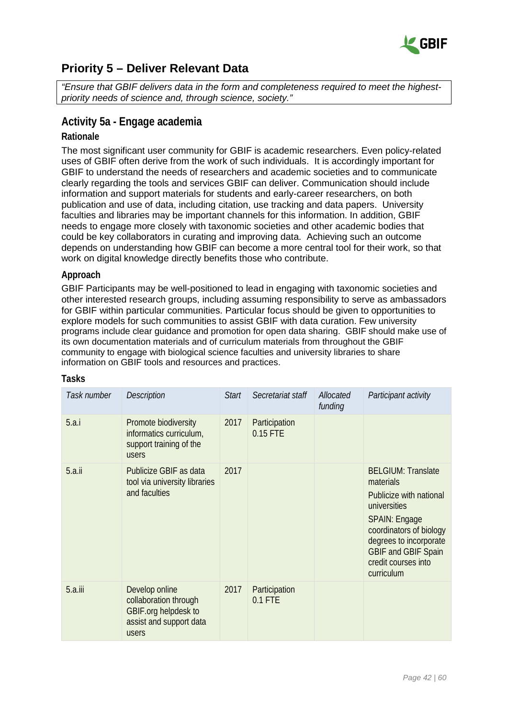

# <span id="page-41-0"></span>**Priority 5 – Deliver Relevant Data**

*"Ensure that GBIF delivers data in the form and completeness required to meet the highestpriority needs of science and, through science, society."*

### <span id="page-41-1"></span>**Activity 5a - Engage academia**

#### **Rationale**

The most significant user community for GBIF is academic researchers. Even policy-related uses of GBIF often derive from the work of such individuals. It is accordingly important for GBIF to understand the needs of researchers and academic societies and to communicate clearly regarding the tools and services GBIF can deliver. Communication should include information and support materials for students and early-career researchers, on both publication and use of data, including citation, use tracking and data papers. University faculties and libraries may be important channels for this information. In addition, GBIF needs to engage more closely with taxonomic societies and other academic bodies that could be key collaborators in curating and improving data. Achieving such an outcome depends on understanding how GBIF can become a more central tool for their work, so that work on digital knowledge directly benefits those who contribute.

#### **Approach**

GBIF Participants may be well-positioned to lead in engaging with taxonomic societies and other interested research groups, including assuming responsibility to serve as ambassadors for GBIF within particular communities. Particular focus should be given to opportunities to explore models for such communities to assist GBIF with data curation. Few university programs include clear guidance and promotion for open data sharing. GBIF should make use of its own documentation materials and of curriculum materials from throughout the GBIF community to engage with biological science faculties and university libraries to share information on GBIF tools and resources and practices.

| Task number | <b>Description</b>                                                                                  | <b>Start</b> | Secretariat staff          | Allocated<br>funding | Participant activity                                                                                                                                                                                                              |
|-------------|-----------------------------------------------------------------------------------------------------|--------------|----------------------------|----------------------|-----------------------------------------------------------------------------------------------------------------------------------------------------------------------------------------------------------------------------------|
| 5.a.i       | Promote biodiversity<br>informatics curriculum,<br>support training of the<br>users                 | 2017         | Participation<br>0.15 FTE  |                      |                                                                                                                                                                                                                                   |
| 5.a.ii      | Publicize GBIF as data<br>tool via university libraries<br>and faculties                            | 2017         |                            |                      | <b>BELGIUM: Translate</b><br>materials<br>Publicize with national<br>universities<br><b>SPAIN: Engage</b><br>coordinators of biology<br>degrees to incorporate<br><b>GBIF and GBIF Spain</b><br>credit courses into<br>curriculum |
| $5.a.$ iii  | Develop online<br>collaboration through<br>GBIF.org helpdesk to<br>assist and support data<br>users | 2017         | Participation<br>$0.1$ FTE |                      |                                                                                                                                                                                                                                   |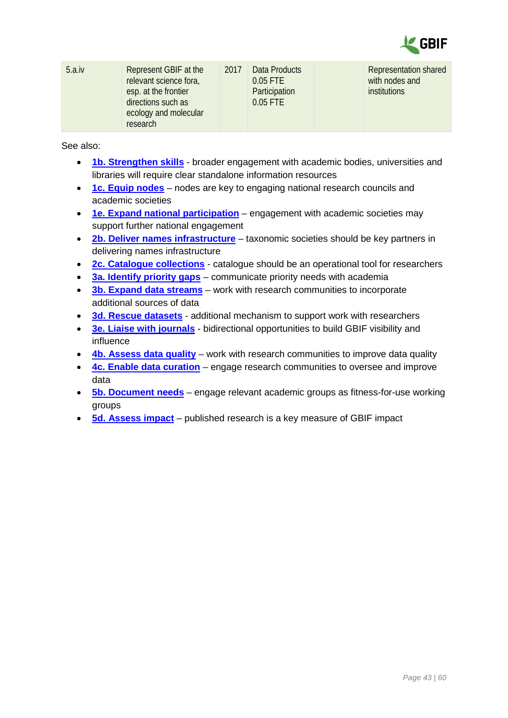

| 5.a.iv<br>Represent GBIF at the<br>2017<br>relevant science fora,<br>esp. at the frontier<br>directions such as<br>ecology and molecular<br>research |
|------------------------------------------------------------------------------------------------------------------------------------------------------|
|------------------------------------------------------------------------------------------------------------------------------------------------------|

- **[1b. Strengthen skills](#page-8-0)** broader engagement with academic bodies, universities and libraries will require clear standalone information resources
- **[1c. Equip nodes](#page-10-0)** nodes are key to engaging national research councils and academic societies
- **[1e. Expand national participation](#page-14-0)** engagement with academic societies may support further national engagement
- **[2b. Deliver names infrastructure](#page-22-0)** taxonomic societies should be key partners in delivering names infrastructure
- **[2c. Catalogue collections](#page-25-0)** catalogue should be an operational tool for researchers
- **[3a. Identify priority gaps](#page-27-1)** communicate priority needs with academia
- **[3b. Expand data streams](#page-29-0)** work with research communities to incorporate additional sources of data
- **[3d. Rescue datasets](#page-33-0)** additional mechanism to support work with researchers
- **[3e. Liaise with journals](#page-34-0)** bidirectional opportunities to build GBIF visibility and influence
- **[4b. Assess data quality](#page-37-0)** work with research communities to improve data quality
- **[4c. Enable data curation](#page-39-0)** engage research communities to oversee and improve data
- **[5b. Document needs](#page-43-0)** engage relevant academic groups as fitness-for-use working groups
- **[5d. Assess impact](#page-47-0)** published research is a key measure of GBIF impact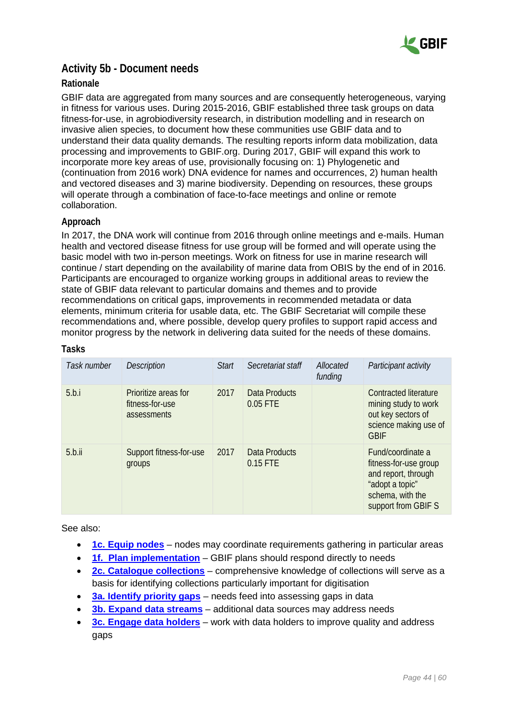

### <span id="page-43-0"></span>**Activity 5b - Document needs**

#### **Rationale**

GBIF data are aggregated from many sources and are consequently heterogeneous, varying in fitness for various uses. During 2015-2016, GBIF established three task groups on data fitness-for-use, in agrobiodiversity research, in distribution modelling and in research on invasive alien species, to document how these communities use GBIF data and to understand their data quality demands. The resulting reports inform data mobilization, data processing and improvements to GBIF.org. During 2017, GBIF will expand this work to incorporate more key areas of use, provisionally focusing on: 1) Phylogenetic and (continuation from 2016 work) DNA evidence for names and occurrences, 2) human health and vectored diseases and 3) marine biodiversity. Depending on resources, these groups will operate through a combination of face-to-face meetings and online or remote collaboration.

#### **Approach**

In 2017, the DNA work will continue from 2016 through online meetings and e-mails. Human health and vectored disease fitness for use group will be formed and will operate using the basic model with two in-person meetings. Work on fitness for use in marine research will continue / start depending on the availability of marine data from OBIS by the end of in 2016. Participants are encouraged to organize working groups in additional areas to review the state of GBIF data relevant to particular domains and themes and to provide recommendations on critical gaps, improvements in recommended metadata or data elements, minimum criteria for usable data, etc. The GBIF Secretariat will compile these recommendations and, where possible, develop query profiles to support rapid access and monitor progress by the network in delivering data suited for the needs of these domains.

| Task number | <b>Description</b>                                     | Start | Secretariat staff         | Allocated<br>funding | Participant activity                                                                                                            |
|-------------|--------------------------------------------------------|-------|---------------------------|----------------------|---------------------------------------------------------------------------------------------------------------------------------|
| 5.b.i       | Prioritize areas for<br>fitness-for-use<br>assessments | 2017  | Data Products<br>0.05 FTE |                      | Contracted literature<br>mining study to work<br>out key sectors of<br>science making use of<br><b>GBIF</b>                     |
| 5.b.ii      | Support fitness-for-use<br>groups                      | 2017  | Data Products<br>0.15 FTE |                      | Fund/coordinate a<br>fitness-for-use group<br>and report, through<br>"adopt a topic"<br>schema, with the<br>support from GBIF S |

#### **Tasks**

- **[1c. Equip nodes](#page-10-0)** nodes may coordinate requirements gathering in particular areas
- **[1f. Plan implementation](#page-16-0)** GBIF plans should respond directly to needs
- **[2c. Catalogue collections](#page-25-0)** comprehensive knowledge of collections will serve as a basis for identifying collections particularly important for digitisation
- **[3a. Identify priority gaps](#page-27-1)** needs feed into assessing gaps in data
- **[3b. Expand data streams](#page-29-0)** additional data sources may address needs
- **[3c. Engage data holders](#page-31-0)** work with data holders to improve quality and address gaps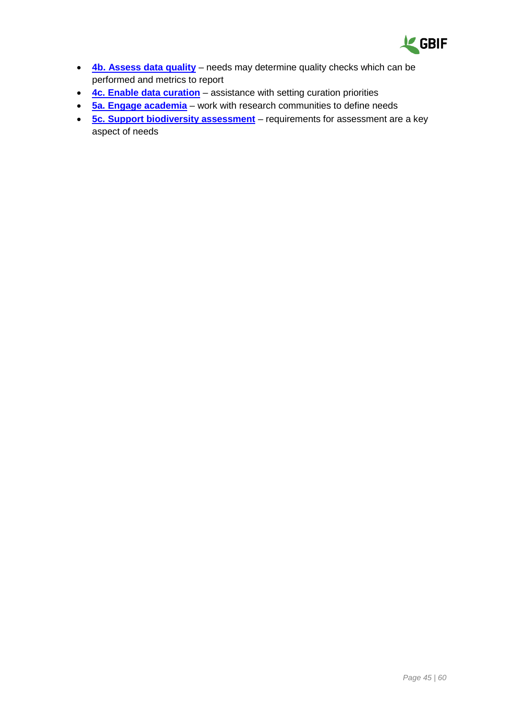

- **[4b. Assess data quality](#page-37-0)** needs may determine quality checks which can be performed and metrics to report
- **[4c. Enable data curation](#page-39-0)** assistance with setting curation priorities
- **[5a. Engage academia](#page-41-1)** work with research communities to define needs
- **[5c. Support biodiversity assessment](#page-45-0)** requirements for assessment are a key aspect of needs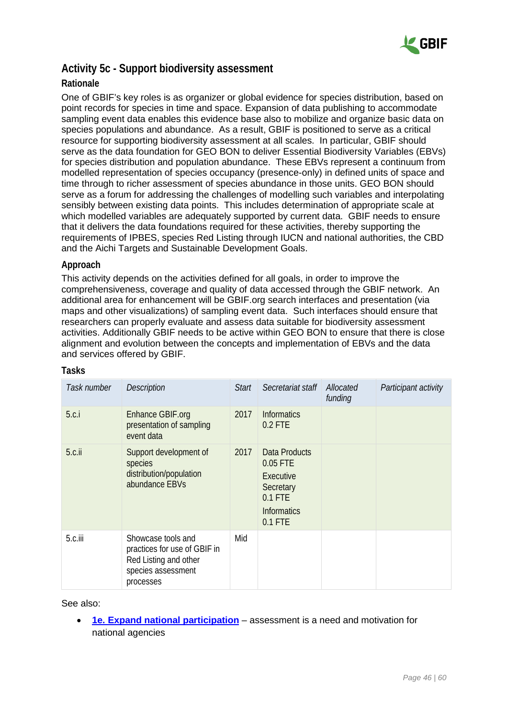

### <span id="page-45-0"></span>**Activity 5c - Support biodiversity assessment**

#### **Rationale**

One of GBIF's key roles is as organizer or global evidence for species distribution, based on point records for species in time and space. Expansion of data publishing to accommodate sampling event data enables this evidence base also to mobilize and organize basic data on species populations and abundance. As a result, GBIF is positioned to serve as a critical resource for supporting biodiversity assessment at all scales. In particular, GBIF should serve as the data foundation for GEO BON to deliver Essential Biodiversity Variables (EBVs) for species distribution and population abundance. These EBVs represent a continuum from modelled representation of species occupancy (presence-only) in defined units of space and time through to richer assessment of species abundance in those units. GEO BON should serve as a forum for addressing the challenges of modelling such variables and interpolating sensibly between existing data points. This includes determination of appropriate scale at which modelled variables are adequately supported by current data. GBIF needs to ensure that it delivers the data foundations required for these activities, thereby supporting the requirements of IPBES, species Red Listing through IUCN and national authorities, the CBD and the Aichi Targets and Sustainable Development Goals.

#### **Approach**

This activity depends on the activities defined for all goals, in order to improve the comprehensiveness, coverage and quality of data accessed through the GBIF network. An additional area for enhancement will be GBIF.org search interfaces and presentation (via maps and other visualizations) of sampling event data. Such interfaces should ensure that researchers can properly evaluate and assess data suitable for biodiversity assessment activities. Additionally GBIF needs to be active within GEO BON to ensure that there is close alignment and evolution between the concepts and implementation of EBVs and the data and services offered by GBIF.

| Task number | <b>Description</b>                                                                                             | <b>Start</b> | Secretariat staff                                                                                   | Allocated<br>funding | Participant activity |
|-------------|----------------------------------------------------------------------------------------------------------------|--------------|-----------------------------------------------------------------------------------------------------|----------------------|----------------------|
| 5.c.i       | Enhance GBIF.org<br>presentation of sampling<br>event data                                                     | 2017         | <b>Informatics</b><br>$0.2$ FTE                                                                     |                      |                      |
| $5.c.$ ii   | Support development of<br>species<br>distribution/population<br>abundance EBVs                                 | 2017         | Data Products<br>0.05 FTE<br>Executive<br>Secretary<br>$0.1$ FTE<br><b>Informatics</b><br>$0.1$ FTE |                      |                      |
| 5.c.iii     | Showcase tools and<br>practices for use of GBIF in<br>Red Listing and other<br>species assessment<br>processes | Mid          |                                                                                                     |                      |                      |

#### **Tasks**

See also:

• **[1e. Expand national participation](#page-14-0)** – assessment is a need and motivation for national agencies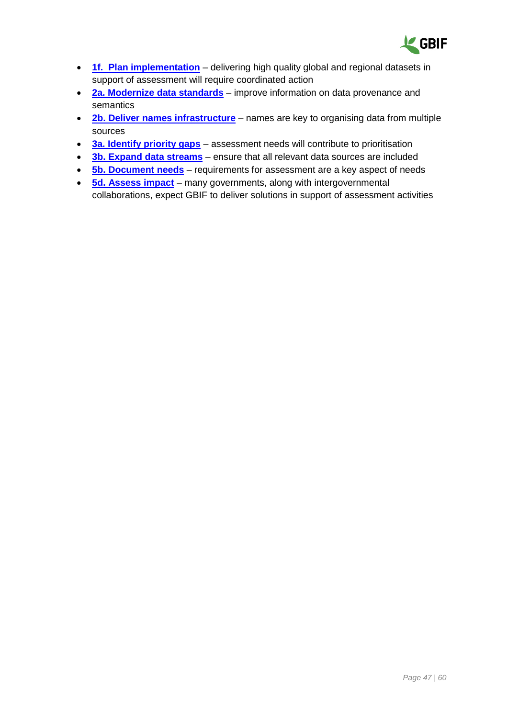

- **[1f. Plan implementation](#page-16-0)** delivering high quality global and regional datasets in support of assessment will require coordinated action
- **2a. Modernize [data standards](#page-20-1)** improve information on data provenance and semantics
- **[2b. Deliver names infrastructure](#page-22-0)** names are key to organising data from multiple sources
- **[3a. Identify priority gaps](#page-27-1)** assessment needs will contribute to prioritisation
- **[3b. Expand data streams](#page-29-0)** ensure that all relevant data sources are included
- **[5b. Document needs](#page-43-0)** requirements for assessment are a key aspect of needs
- **[5d. Assess impact](#page-47-0)** many governments, along with intergovernmental collaborations, expect GBIF to deliver solutions in support of assessment activities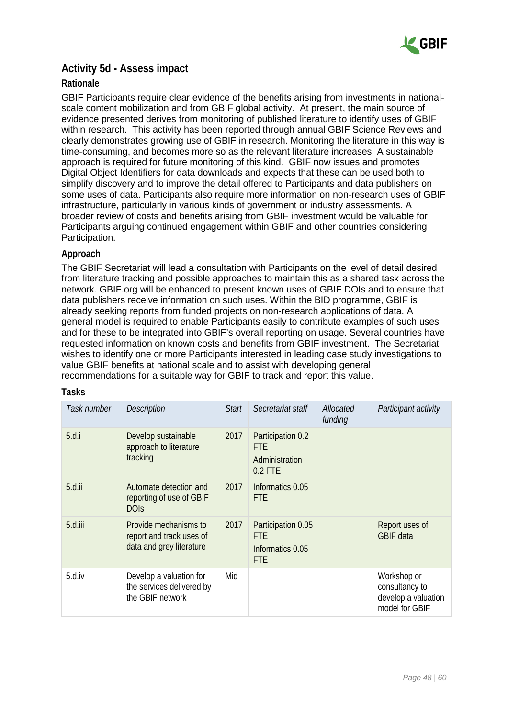

## <span id="page-47-0"></span>**Activity 5d - Assess impact**

#### **Rationale**

GBIF Participants require clear evidence of the benefits arising from investments in nationalscale content mobilization and from GBIF global activity. At present, the main source of evidence presented derives from monitoring of published literature to identify uses of GBIF within research. This activity has been reported through annual GBIF Science Reviews and clearly demonstrates growing use of GBIF in research. Monitoring the literature in this way is time-consuming, and becomes more so as the relevant literature increases. A sustainable approach is required for future monitoring of this kind. GBIF now issues and promotes Digital Object Identifiers for data downloads and expects that these can be used both to simplify discovery and to improve the detail offered to Participants and data publishers on some uses of data. Participants also require more information on non-research uses of GBIF infrastructure, particularly in various kinds of government or industry assessments. A broader review of costs and benefits arising from GBIF investment would be valuable for Participants arguing continued engagement within GBIF and other countries considering Participation.

#### **Approach**

The GBIF Secretariat will lead a consultation with Participants on the level of detail desired from literature tracking and possible approaches to maintain this as a shared task across the network. GBIF.org will be enhanced to present known uses of GBIF DOIs and to ensure that data publishers receive information on such uses. Within the BID programme, GBIF is already seeking reports from funded projects on non-research applications of data. A general model is required to enable Participants easily to contribute examples of such uses and for these to be integrated into GBIF's overall reporting on usage. Several countries have requested information on known costs and benefits from GBIF investment. The Secretariat wishes to identify one or more Participants interested in leading case study investigations to value GBIF benefits at national scale and to assist with developing general recommendations for a suitable way for GBIF to track and report this value.

| Task number | <b>Description</b>                                                            | <b>Start</b> | Secretariat staff                                                  | Allocated<br>funding | Participant activity                                                   |
|-------------|-------------------------------------------------------------------------------|--------------|--------------------------------------------------------------------|----------------------|------------------------------------------------------------------------|
| 5.d.i       | Develop sustainable<br>approach to literature<br>tracking                     | 2017         | Participation 0.2<br><b>FTE</b><br>Administration<br>$0.2$ FTE     |                      |                                                                        |
| $5.d.$ ii   | Automate detection and<br>reporting of use of GBIF<br><b>DOIS</b>             | 2017         | Informatics 0.05<br>FTE.                                           |                      |                                                                        |
| 5.d.iii     | Provide mechanisms to<br>report and track uses of<br>data and grey literature | 2017         | Participation 0.05<br><b>FTE</b><br>Informatics 0.05<br><b>FTE</b> |                      | Report uses of<br><b>GBIF</b> data                                     |
| 5.d.iv      | Develop a valuation for<br>the services delivered by<br>the GBIF network      | Mid          |                                                                    |                      | Workshop or<br>consultancy to<br>develop a valuation<br>model for GBIF |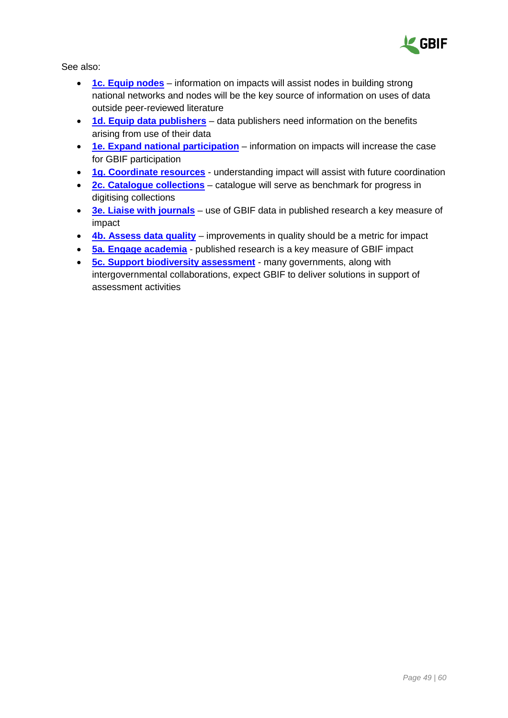

- **[1c. Equip nodes](#page-10-0)** information on impacts will assist nodes in building strong national networks and nodes will be the key source of information on uses of data outside peer-reviewed literature
- **[1d. Equip data publishers](#page-12-0)** data publishers need information on the benefits arising from use of their data
- **[1e. Expand national participation](#page-14-0)** information on impacts will increase the case for GBIF participation
- [1g. Coordinate resources](#page-18-0) understanding impact will assist with future coordination
- **[2c. Catalogue collections](#page-25-0)** catalogue will serve as benchmark for progress in digitising collections
- **[3e. Liaise with journals](#page-34-0)** use of GBIF data in published research a key measure of impact
- **[4b. Assess data quality](#page-37-0)** improvements in quality should be a metric for impact
- **[5a. Engage academia](#page-41-1)** published research is a key measure of GBIF impact
- <span id="page-48-0"></span>• **[5c. Support biodiversity assessment](#page-45-0)** - many governments, along with intergovernmental collaborations, expect GBIF to deliver solutions in support of assessment activities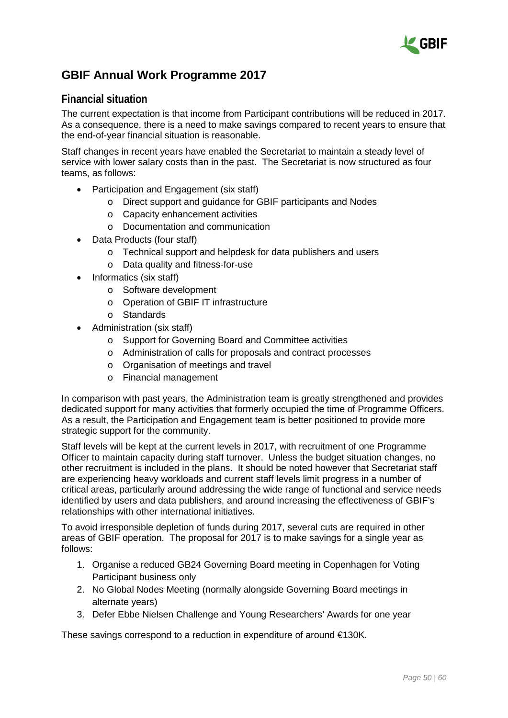

# <span id="page-49-0"></span>**GBIF Annual Work Programme 2017**

### **Financial situation**

The current expectation is that income from Participant contributions will be reduced in 2017. As a consequence, there is a need to make savings compared to recent years to ensure that the end-of-year financial situation is reasonable.

Staff changes in recent years have enabled the Secretariat to maintain a steady level of service with lower salary costs than in the past. The Secretariat is now structured as four teams, as follows:

- Participation and Engagement (six staff)
	- o Direct support and guidance for GBIF participants and Nodes
	- o Capacity enhancement activities
	- o Documentation and communication
- Data Products (four staff)
	- o Technical support and helpdesk for data publishers and users
	- o Data quality and fitness-for-use
- Informatics (six staff)
	- o Software development
	- o Operation of GBIF IT infrastructure
	- o Standards
- Administration (six staff)
	- o Support for Governing Board and Committee activities
	- o Administration of calls for proposals and contract processes
	- o Organisation of meetings and travel
	- o Financial management

In comparison with past years, the Administration team is greatly strengthened and provides dedicated support for many activities that formerly occupied the time of Programme Officers. As a result, the Participation and Engagement team is better positioned to provide more strategic support for the community.

Staff levels will be kept at the current levels in 2017, with recruitment of one Programme Officer to maintain capacity during staff turnover. Unless the budget situation changes, no other recruitment is included in the plans. It should be noted however that Secretariat staff are experiencing heavy workloads and current staff levels limit progress in a number of critical areas, particularly around addressing the wide range of functional and service needs identified by users and data publishers, and around increasing the effectiveness of GBIF's relationships with other international initiatives.

To avoid irresponsible depletion of funds during 2017, several cuts are required in other areas of GBIF operation. The proposal for 2017 is to make savings for a single year as follows:

- 1. Organise a reduced GB24 Governing Board meeting in Copenhagen for Voting Participant business only
- 2. No Global Nodes Meeting (normally alongside Governing Board meetings in alternate years)
- 3. Defer Ebbe Nielsen Challenge and Young Researchers' Awards for one year

These savings correspond to a reduction in expenditure of around €130K.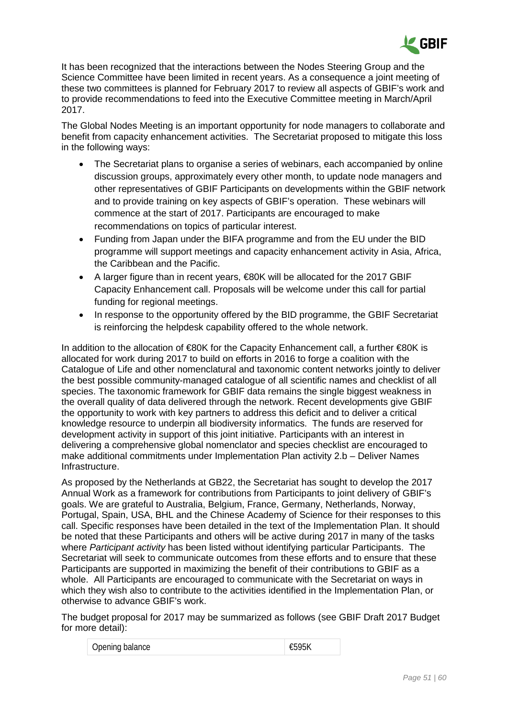

It has been recognized that the interactions between the Nodes Steering Group and the Science Committee have been limited in recent years. As a consequence a joint meeting of these two committees is planned for February 2017 to review all aspects of GBIF's work and to provide recommendations to feed into the Executive Committee meeting in March/April 2017.

The Global Nodes Meeting is an important opportunity for node managers to collaborate and benefit from capacity enhancement activities. The Secretariat proposed to mitigate this loss in the following ways:

- The Secretariat plans to organise a series of webinars, each accompanied by online discussion groups, approximately every other month, to update node managers and other representatives of GBIF Participants on developments within the GBIF network and to provide training on key aspects of GBIF's operation. These webinars will commence at the start of 2017. Participants are encouraged to make recommendations on topics of particular interest.
- Funding from Japan under the BIFA programme and from the EU under the BID programme will support meetings and capacity enhancement activity in Asia, Africa, the Caribbean and the Pacific.
- A larger figure than in recent years, €80K will be allocated for the 2017 GBIF Capacity Enhancement call. Proposals will be welcome under this call for partial funding for regional meetings.
- In response to the opportunity offered by the BID programme, the GBIF Secretariat is reinforcing the helpdesk capability offered to the whole network.

In addition to the allocation of €80K for the Capacity Enhancement call, a further €80K is allocated for work during 2017 to build on efforts in 2016 to forge a coalition with the Catalogue of Life and other nomenclatural and taxonomic content networks jointly to deliver the best possible community-managed catalogue of all scientific names and checklist of all species. The taxonomic framework for GBIF data remains the single biggest weakness in the overall quality of data delivered through the network. Recent developments give GBIF the opportunity to work with key partners to address this deficit and to deliver a critical knowledge resource to underpin all biodiversity informatics. The funds are reserved for development activity in support of this joint initiative. Participants with an interest in delivering a comprehensive global nomenclator and species checklist are encouraged to make additional commitments under Implementation Plan activity 2.b – Deliver Names Infrastructure.

As proposed by the Netherlands at GB22, the Secretariat has sought to develop the 2017 Annual Work as a framework for contributions from Participants to joint delivery of GBIF's goals. We are grateful to Australia, Belgium, France, Germany, Netherlands, Norway, Portugal, Spain, USA, BHL and the Chinese Academy of Science for their responses to this call. Specific responses have been detailed in the text of the Implementation Plan. It should be noted that these Participants and others will be active during 2017 in many of the tasks where *Participant activity* has been listed without identifying particular Participants. The Secretariat will seek to communicate outcomes from these efforts and to ensure that these Participants are supported in maximizing the benefit of their contributions to GBIF as a whole. All Participants are encouraged to communicate with the Secretariat on ways in which they wish also to contribute to the activities identified in the Implementation Plan, or otherwise to advance GBIF's work.

The budget proposal for 2017 may be summarized as follows (see GBIF Draft 2017 Budget for more detail):

| Opening balance | €595K |
|-----------------|-------|
|-----------------|-------|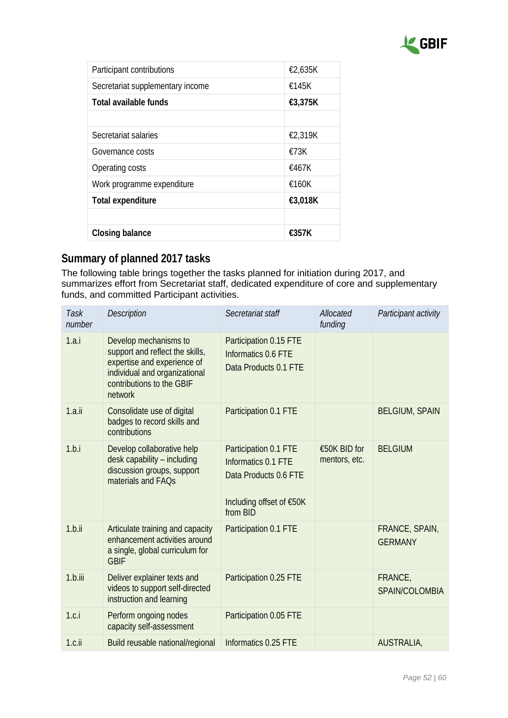

| Participant contributions        | €2,635K |
|----------------------------------|---------|
| Secretariat supplementary income | £145K   |
| Total available funds            | €3,375K |
|                                  |         |
| Secretariat salaries             | €2,319K |
| Governance costs                 | £73K    |
| Operating costs                  | £467K   |
| Work programme expenditure       | £160K   |
| <b>Total expenditure</b>         | €3,018K |
|                                  |         |
| <b>Closing balance</b>           | £357K   |
|                                  |         |

# **Summary of planned 2017 tasks**

The following table brings together the tasks planned for initiation during 2017, and summarizes effort from Secretariat staff, dedicated expenditure of core and supplementary funds, and committed Participant activities.

| Task<br>number | <b>Description</b>                                                                                                                                               | Secretariat staff                                                                                             | Allocated<br>funding          | Participant activity             |
|----------------|------------------------------------------------------------------------------------------------------------------------------------------------------------------|---------------------------------------------------------------------------------------------------------------|-------------------------------|----------------------------------|
| 1.a.i          | Develop mechanisms to<br>support and reflect the skills,<br>expertise and experience of<br>individual and organizational<br>contributions to the GBIF<br>network | Participation 0.15 FTE<br>Informatics 0.6 FTE<br>Data Products 0.1 FTE                                        |                               |                                  |
| $1.a.$ ii      | Consolidate use of digital<br>badges to record skills and<br>contributions                                                                                       | Participation 0.1 FTE                                                                                         |                               | <b>BELGIUM, SPAIN</b>            |
| 1.b.i          | Develop collaborative help<br>desk capability - including<br>discussion groups, support<br>materials and FAQs                                                    | Participation 0.1 FTE<br>Informatics 0.1 FTE<br>Data Products 0.6 FTE<br>Including offset of €50K<br>from BID | €50K BID for<br>mentors, etc. | <b>BELGIUM</b>                   |
| 1.b.ii         | Articulate training and capacity<br>enhancement activities around<br>a single, global curriculum for<br><b>GBIF</b>                                              | Participation 0.1 FTE                                                                                         |                               | FRANCE, SPAIN,<br><b>GERMANY</b> |
| $1.b.$ iii     | Deliver explainer texts and<br>videos to support self-directed<br>instruction and learning                                                                       | Participation 0.25 FTE                                                                                        |                               | FRANCE,<br>SPAIN/COLOMBIA        |
| 1.c.i          | Perform ongoing nodes<br>capacity self-assessment                                                                                                                | Participation 0.05 FTE                                                                                        |                               |                                  |
| $1.c.$ ii      | Build reusable national/regional                                                                                                                                 | Informatics 0.25 FTE                                                                                          |                               | AUSTRALIA,                       |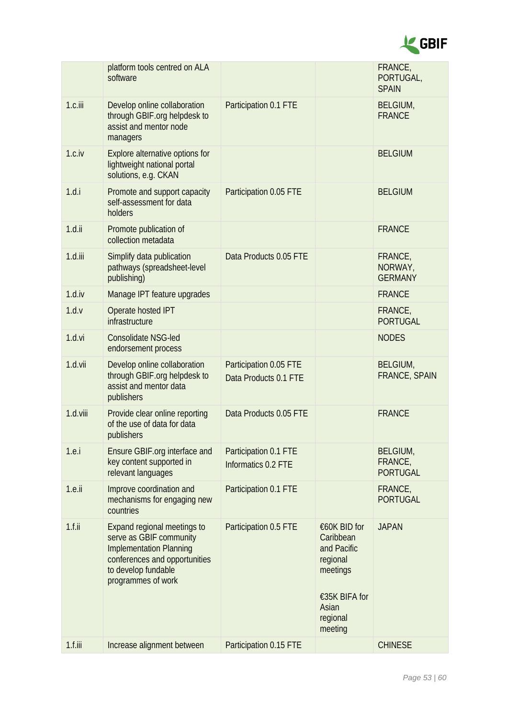

|            | platform tools centred on ALA<br>software                                                                                                                                     |                                                 |                                                                                                                   | FRANCE,<br>PORTUGAL,<br><b>SPAIN</b>   |
|------------|-------------------------------------------------------------------------------------------------------------------------------------------------------------------------------|-------------------------------------------------|-------------------------------------------------------------------------------------------------------------------|----------------------------------------|
| 1.c.iii    | Develop online collaboration<br>through GBIF.org helpdesk to<br>assist and mentor node<br>managers                                                                            | Participation 0.1 FTE                           |                                                                                                                   | <b>BELGIUM,</b><br><b>FRANCE</b>       |
| 1.c.iv     | Explore alternative options for<br>lightweight national portal<br>solutions, e.g. CKAN                                                                                        |                                                 |                                                                                                                   | <b>BELGIUM</b>                         |
| 1.d.i      | Promote and support capacity<br>self-assessment for data<br>holders                                                                                                           | Participation 0.05 FTE                          |                                                                                                                   | <b>BELGIUM</b>                         |
| $1.d.$ ii  | Promote publication of<br>collection metadata                                                                                                                                 |                                                 |                                                                                                                   | <b>FRANCE</b>                          |
| $1.d.$ iii | Simplify data publication<br>pathways (spreadsheet-level<br>publishing)                                                                                                       | Data Products 0.05 FTE                          |                                                                                                                   | FRANCE,<br>NORWAY,<br><b>GERMANY</b>   |
| 1.d.iv     | Manage IPT feature upgrades                                                                                                                                                   |                                                 |                                                                                                                   | <b>FRANCE</b>                          |
| 1.d.v      | Operate hosted IPT<br>infrastructure                                                                                                                                          |                                                 |                                                                                                                   | FRANCE,<br><b>PORTUGAL</b>             |
| 1.d.vi     | <b>Consolidate NSG-led</b><br>endorsement process                                                                                                                             |                                                 |                                                                                                                   | <b>NODES</b>                           |
| 1.d.vii    | Develop online collaboration<br>through GBIF.org helpdesk to<br>assist and mentor data<br>publishers                                                                          | Participation 0.05 FTE<br>Data Products 0.1 FTE |                                                                                                                   | BELGIUM,<br><b>FRANCE, SPAIN</b>       |
| 1.d.viii   | Provide clear online reporting<br>of the use of data for data<br>publishers                                                                                                   | Data Products 0.05 FTE                          |                                                                                                                   | <b>FRANCE</b>                          |
| 1.e.       | Ensure GBIF.org interface and<br>key content supported in<br>relevant languages                                                                                               | Participation 0.1 FTE<br>Informatics 0.2 FTE    |                                                                                                                   | BELGIUM,<br>FRANCE,<br><b>PORTUGAL</b> |
| $1.e.$ ii  | Improve coordination and<br>mechanisms for engaging new<br>countries                                                                                                          | Participation 0.1 FTE                           |                                                                                                                   | FRANCE,<br><b>PORTUGAL</b>             |
| $1.f.$ ii  | <b>Expand regional meetings to</b><br>serve as GBIF community<br><b>Implementation Planning</b><br>conferences and opportunities<br>to develop fundable<br>programmes of work | Participation 0.5 FTE                           | €60K BID for<br>Caribbean<br>and Pacific<br>regional<br>meetings<br>€35K BIFA for<br>Asian<br>regional<br>meeting | <b>JAPAN</b>                           |
| $1.f.$ iii | Increase alignment between                                                                                                                                                    | Participation 0.15 FTE                          |                                                                                                                   | <b>CHINESE</b>                         |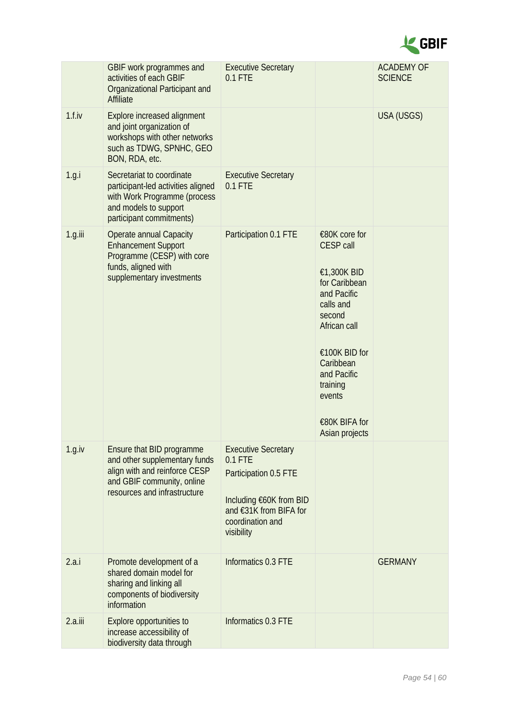

|            | GBIF work programmes and<br>activities of each GBIF<br>Organizational Participant and<br>Affiliate                                                        | <b>Executive Secretary</b><br>$0.1$ FTE                                                                                                                 |                                                                                                                                                                                                                               | <b>ACADEMY OF</b><br><b>SCIENCE</b> |
|------------|-----------------------------------------------------------------------------------------------------------------------------------------------------------|---------------------------------------------------------------------------------------------------------------------------------------------------------|-------------------------------------------------------------------------------------------------------------------------------------------------------------------------------------------------------------------------------|-------------------------------------|
| 1.f.iv     | <b>Explore increased alignment</b><br>and joint organization of<br>workshops with other networks<br>such as TDWG, SPNHC, GEO<br>BON, RDA, etc.            |                                                                                                                                                         |                                                                                                                                                                                                                               | USA (USGS)                          |
| 1.g.       | Secretariat to coordinate<br>participant-led activities aligned<br>with Work Programme (process<br>and models to support<br>participant commitments)      | <b>Executive Secretary</b><br>0.1 FTE                                                                                                                   |                                                                                                                                                                                                                               |                                     |
| $1.g.$ iii | <b>Operate annual Capacity</b><br><b>Enhancement Support</b><br>Programme (CESP) with core<br>funds, aligned with<br>supplementary investments            | Participation 0.1 FTE                                                                                                                                   | €80K core for<br><b>CESP call</b><br>€1,300K BID<br>for Caribbean<br>and Pacific<br>calls and<br>second<br>African call<br>€100K BID for<br>Caribbean<br>and Pacific<br>training<br>events<br>€80K BIFA for<br>Asian projects |                                     |
| 1.g.iv     | Ensure that BID programme<br>and other supplementary funds<br>align with and reinforce CESP<br>and GBIF community, online<br>resources and infrastructure | <b>Executive Secretary</b><br>$0.1$ FTE<br>Participation 0.5 FTE<br>Including €60K from BID<br>and €31K from BIFA for<br>coordination and<br>visibility |                                                                                                                                                                                                                               |                                     |
| 2.a.i      | Promote development of a<br>shared domain model for<br>sharing and linking all<br>components of biodiversity<br>information                               | Informatics 0.3 FTE                                                                                                                                     |                                                                                                                                                                                                                               | <b>GERMANY</b>                      |
| 2.a.iii    | Explore opportunities to<br>increase accessibility of<br>biodiversity data through                                                                        | Informatics 0.3 FTE                                                                                                                                     |                                                                                                                                                                                                                               |                                     |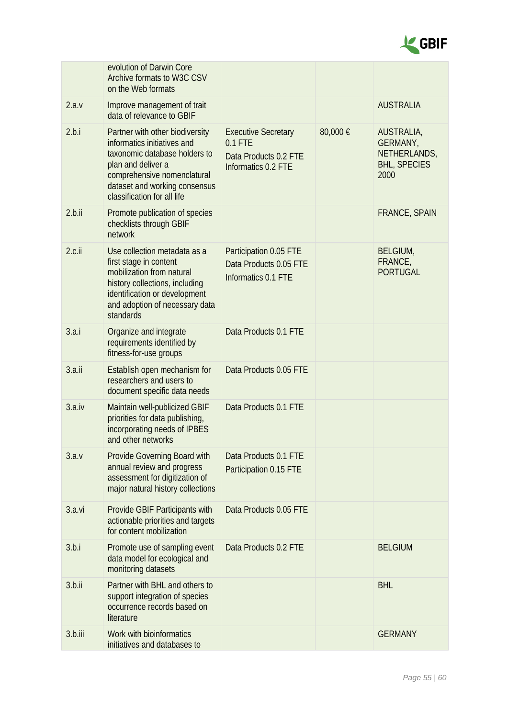

|            | evolution of Darwin Core<br>Archive formats to W3C CSV<br>on the Web formats                                                                                                                                         |                                                                                         |         |                                                                       |
|------------|----------------------------------------------------------------------------------------------------------------------------------------------------------------------------------------------------------------------|-----------------------------------------------------------------------------------------|---------|-----------------------------------------------------------------------|
| 2.a.v      | Improve management of trait<br>data of relevance to GBIF                                                                                                                                                             |                                                                                         |         | <b>AUSTRALIA</b>                                                      |
| 2.b.i      | Partner with other biodiversity<br>informatics initiatives and<br>taxonomic database holders to<br>plan and deliver a<br>comprehensive nomenclatural<br>dataset and working consensus<br>classification for all life | <b>Executive Secretary</b><br>$0.1$ FTE<br>Data Products 0.2 FTE<br>Informatics 0.2 FTE | 80,000€ | AUSTRALIA,<br>GERMANY,<br>NETHERLANDS,<br><b>BHL, SPECIES</b><br>2000 |
| 2.b.ii     | Promote publication of species<br>checklists through GBIF<br>network                                                                                                                                                 |                                                                                         |         | <b>FRANCE, SPAIN</b>                                                  |
| $2.c.$ ii  | Use collection metadata as a<br>first stage in content<br>mobilization from natural<br>history collections, including<br>identification or development<br>and adoption of necessary data<br>standards                | Participation 0.05 FTE<br>Data Products 0.05 FTE<br>Informatics 0.1 FTE                 |         | BELGIUM,<br>FRANCE,<br><b>PORTUGAL</b>                                |
| 3.a.i      | Organize and integrate<br>requirements identified by<br>fitness-for-use groups                                                                                                                                       | Data Products 0.1 FTE                                                                   |         |                                                                       |
| 3.a.ii     | Establish open mechanism for<br>researchers and users to<br>document specific data needs                                                                                                                             | Data Products 0.05 FTE                                                                  |         |                                                                       |
| 3.a.iv     | Maintain well-publicized GBIF<br>priorities for data publishing,<br>incorporating needs of IPBES<br>and other networks                                                                                               | Data Products 0.1 FTE                                                                   |         |                                                                       |
| 3.a.v      | Provide Governing Board with<br>annual review and progress<br>assessment for digitization of<br>major natural history collections                                                                                    | Data Products 0.1 FTE<br>Participation 0.15 FTE                                         |         |                                                                       |
| 3.a.vi     | Provide GBIF Participants with<br>actionable priorities and targets<br>for content mobilization                                                                                                                      | Data Products 0.05 FTE                                                                  |         |                                                                       |
| 3.b.i      | Promote use of sampling event<br>data model for ecological and<br>monitoring datasets                                                                                                                                | Data Products 0.2 FTE                                                                   |         | <b>BELGIUM</b>                                                        |
| 3.b.ii     | Partner with BHL and others to<br>support integration of species<br>occurrence records based on<br>literature                                                                                                        |                                                                                         |         | <b>BHL</b>                                                            |
| $3.b.$ iii | Work with bioinformatics<br>initiatives and databases to                                                                                                                                                             |                                                                                         |         | <b>GERMANY</b>                                                        |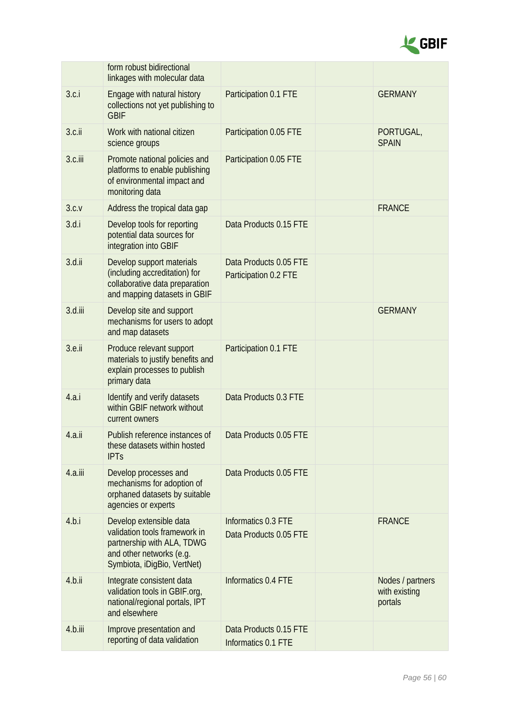

|           | form robust bidirectional<br>linkages with molecular data                                                                                         |                                                 |                                              |
|-----------|---------------------------------------------------------------------------------------------------------------------------------------------------|-------------------------------------------------|----------------------------------------------|
| 3.c.i     | Engage with natural history<br>collections not yet publishing to<br><b>GBIF</b>                                                                   | Participation 0.1 FTE                           | <b>GERMANY</b>                               |
| $3.c.$ ii | Work with national citizen<br>science groups                                                                                                      | Participation 0.05 FTE                          | PORTUGAL,<br><b>SPAIN</b>                    |
| 3.c.iii   | Promote national policies and<br>platforms to enable publishing<br>of environmental impact and<br>monitoring data                                 | Participation 0.05 FTE                          |                                              |
| 3.c.v     | Address the tropical data gap                                                                                                                     |                                                 | <b>FRANCE</b>                                |
| 3.d.i     | Develop tools for reporting<br>potential data sources for<br>integration into GBIF                                                                | Data Products 0.15 FTE                          |                                              |
| $3.d.$ ii | Develop support materials<br>(including accreditation) for<br>collaborative data preparation<br>and mapping datasets in GBIF                      | Data Products 0.05 FTE<br>Participation 0.2 FTE |                                              |
| 3.d.iii   | Develop site and support<br>mechanisms for users to adopt<br>and map datasets                                                                     |                                                 | <b>GERMANY</b>                               |
| 3.e.ii    | Produce relevant support<br>materials to justify benefits and<br>explain processes to publish<br>primary data                                     | Participation 0.1 FTE                           |                                              |
| 4.a.i     | Identify and verify datasets<br>within GBIF network without<br>current owners                                                                     | Data Products 0.3 FTE                           |                                              |
| 4.a.ii    | Publish reference instances of<br>these datasets within hosted<br><b>IPTs</b>                                                                     | Data Products 0.05 FTE                          |                                              |
| 4.a.iii   | Develop processes and<br>mechanisms for adoption of<br>orphaned datasets by suitable<br>agencies or experts                                       | Data Products 0.05 FTE                          |                                              |
| 4.b.i     | Develop extensible data<br>validation tools framework in<br>partnership with ALA, TDWG<br>and other networks (e.g.<br>Symbiota, iDigBio, VertNet) | Informatics 0.3 FTE<br>Data Products 0.05 FTE   | <b>FRANCE</b>                                |
| 4.b.ii    | Integrate consistent data<br>validation tools in GBIF.org,<br>national/regional portals, IPT<br>and elsewhere                                     | Informatics 0.4 FTE                             | Nodes / partners<br>with existing<br>portals |
| 4.b.iii   | Improve presentation and<br>reporting of data validation                                                                                          | Data Products 0.15 FTE<br>Informatics 0.1 FTE   |                                              |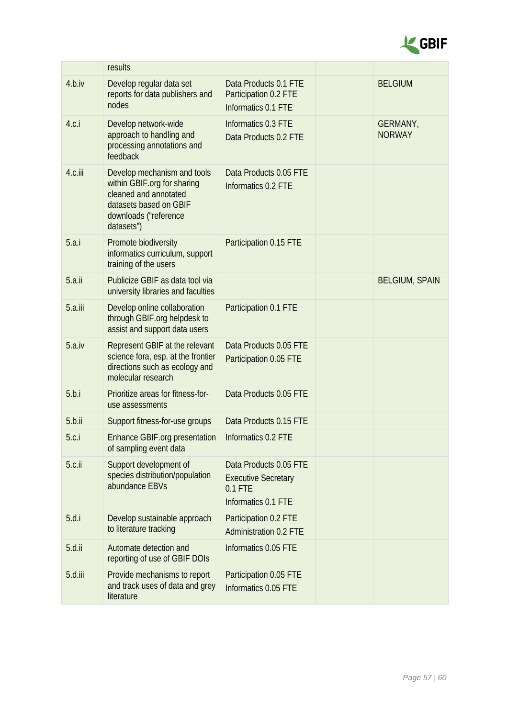

|           | results                                                                                                                                              |                                                                                          |                           |
|-----------|------------------------------------------------------------------------------------------------------------------------------------------------------|------------------------------------------------------------------------------------------|---------------------------|
| 4.b.iv    | Develop regular data set<br>reports for data publishers and<br>nodes                                                                                 | Data Products 0.1 FTE<br>Participation 0.2 FTE<br>Informatics 0.1 FTE                    | <b>BELGIUM</b>            |
| 4.c.i     | Develop network-wide<br>approach to handling and<br>processing annotations and<br>feedback                                                           | Informatics 0.3 FTE<br>Data Products 0.2 FTE                                             | GERMANY,<br><b>NORWAY</b> |
| 4.c.iii   | Develop mechanism and tools<br>within GBIF.org for sharing<br>cleaned and annotated<br>datasets based on GBIF<br>downloads ("reference<br>datasets") | Data Products 0.05 FTE<br>Informatics 0.2 FTE                                            |                           |
| 5.a.i     | Promote biodiversity<br>informatics curriculum, support<br>training of the users                                                                     | Participation 0.15 FTE                                                                   |                           |
| 5.a.ii    | Publicize GBIF as data tool via<br>university libraries and faculties                                                                                |                                                                                          | <b>BELGIUM, SPAIN</b>     |
| 5.a.iii   | Develop online collaboration<br>through GBIF org helpdesk to<br>assist and support data users                                                        | Participation 0.1 FTE                                                                    |                           |
| 5.a.iv    | Represent GBIF at the relevant<br>science fora, esp. at the frontier<br>directions such as ecology and<br>molecular research                         | Data Products 0.05 FTE<br>Participation 0.05 FTE                                         |                           |
| 5.b.i     | Prioritize areas for fitness-for-<br>use assessments                                                                                                 | Data Products 0.05 FTE                                                                   |                           |
| 5.b.ii    | Support fitness-for-use groups                                                                                                                       | Data Products 0.15 FTE                                                                   |                           |
| 5.c.i     | Enhance GBIF org presentation<br>of sampling event data                                                                                              | Informatics 0.2 FTE                                                                      |                           |
| $5.c.$ ii | Support development of<br>species distribution/population<br>abundance EBVs                                                                          | Data Products 0.05 FTE<br><b>Executive Secretary</b><br>$0.1$ FTE<br>Informatics 0.1 FTE |                           |
| 5.d.i     | Develop sustainable approach<br>to literature tracking                                                                                               | Participation 0.2 FTE<br><b>Administration 0.2 FTE</b>                                   |                           |
| $5.d.$ ii | Automate detection and<br>reporting of use of GBIF DOIs                                                                                              | Informatics 0.05 FTE                                                                     |                           |
| 5.d.iii   | Provide mechanisms to report<br>and track uses of data and grey<br>literature                                                                        | Participation 0.05 FTE<br>Informatics 0.05 FTE                                           |                           |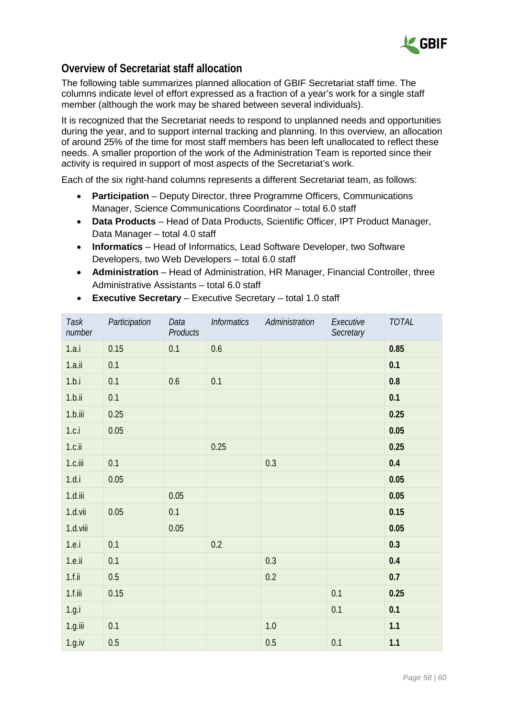

### **Overview of Secretariat staff allocation**

The following table summarizes planned allocation of GBIF Secretariat staff time. The columns indicate level of effort expressed as a fraction of a year's work for a single staff member (although the work may be shared between several individuals).

It is recognized that the Secretariat needs to respond to unplanned needs and opportunities during the year, and to support internal tracking and planning. In this overview, an allocation of around 25% of the time for most staff members has been left unallocated to reflect these needs. A smaller proportion of the work of the Administration Team is reported since their activity is required in support of most aspects of the Secretariat's work.

Each of the six right-hand columns represents a different Secretariat team, as follows:

- **Participation** Deputy Director, three Programme Officers, Communications Manager, Science Communications Coordinator – total 6.0 staff
- **Data Products** Head of Data Products, Scientific Officer, IPT Product Manager, Data Manager – total 4.0 staff
- **Informatics**  Head of Informatics, Lead Software Developer, two Software Developers, two Web Developers – total 6.0 staff
- **Administration** Head of Administration, HR Manager, Financial Controller, three Administrative Assistants – total 6.0 staff

| Task<br>number | Participation | Data<br>Products | <b>Informatics</b> | Administration | Executive<br>Secretary | TOTAL   |
|----------------|---------------|------------------|--------------------|----------------|------------------------|---------|
| 1.a.i          | 0.15          | 0.1              | 0.6                |                |                        | 0.85    |
| 1.a.ii         | 0.1           |                  |                    |                |                        | 0.1     |
| 1.b.i          | 0.1           | 0.6              | 0.1                |                |                        | $0.8\,$ |
| 1.b.ii         | 0.1           |                  |                    |                |                        | 0.1     |
| $1.b.$ iii     | 0.25          |                  |                    |                |                        | 0.25    |
| 1.c.i          | 0.05          |                  |                    |                |                        | 0.05    |
| $1.c.$ ii      |               |                  | 0.25               |                |                        | 0.25    |
| 1.c.iii        | 0.1           |                  |                    | 0.3            |                        | 0.4     |
| 1.d.i          | 0.05          |                  |                    |                |                        | 0.05    |
| $1.d.$ iii     |               | 0.05             |                    |                |                        | 0.05    |
| 1.d.vii        | 0.05          | 0.1              |                    |                |                        | 0.15    |
| 1.d.viii       |               | 0.05             |                    |                |                        | 0.05    |
| 1.e. i         | 0.1           |                  | 0.2                |                |                        | 0.3     |
| $1.e.$ ii      | 0.1           |                  |                    | 0.3            |                        | 0.4     |
| $1.f.$ ii      | 0.5           |                  |                    | 0.2            |                        | 0.7     |
| $1.f.$ iii     | 0.15          |                  |                    |                | 0.1                    | 0.25    |
| 1.g.i          |               |                  |                    |                | 0.1                    | 0.1     |
| 1.g.iii        | 0.1           |                  |                    | 1.0            |                        | 1.1     |
| 1.g.iv         | $0.5\,$       |                  |                    | 0.5            | 0.1                    | 1.1     |

• **Executive Secretary** – Executive Secretary – total 1.0 staff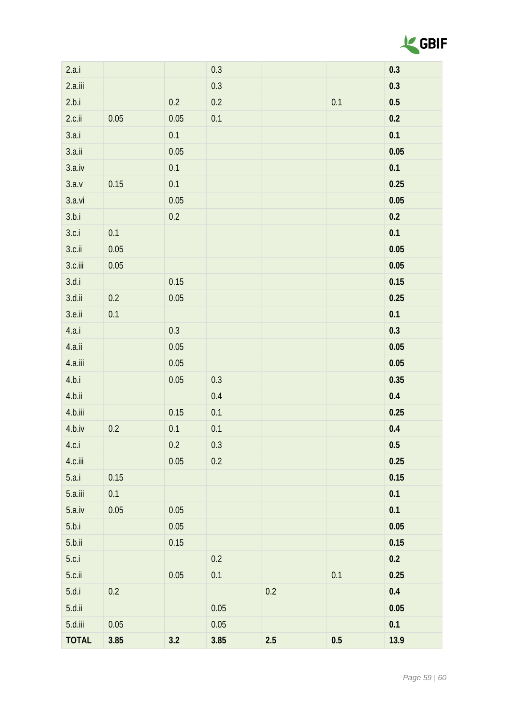

| 2.a.i        |          |         | 0.3     |     |         | 0.3     |
|--------------|----------|---------|---------|-----|---------|---------|
| 2.a.iii      |          |         | $0.3\,$ |     |         | 0.3     |
| 2.b.i        |          | $0.2\,$ | $0.2\,$ |     | 0.1     | $0.5\,$ |
| $2.c.$ ii    | 0.05     | 0.05    | $0.1\,$ |     |         | 0.2     |
| 3.a.i        |          | 0.1     |         |     |         | 0.1     |
| $3.a.$ ii    |          | 0.05    |         |     |         | 0.05    |
| 3.a.iv       |          | 0.1     |         |     |         | 0.1     |
| 3.a.v        | 0.15     | 0.1     |         |     |         | 0.25    |
| 3.a.vi       |          | 0.05    |         |     |         | 0.05    |
| 3.b.i        |          | 0.2     |         |     |         | 0.2     |
| 3.c.i        | $0.1\,$  |         |         |     |         | 0.1     |
| $3.c.$ ii    | $0.05\,$ |         |         |     |         | 0.05    |
| 3.c.iii      | $0.05\,$ |         |         |     |         | 0.05    |
| 3.d.i        |          | 0.15    |         |     |         | 0.15    |
| $3.d.$ ii    | $0.2\,$  | 0.05    |         |     |         | 0.25    |
| $3.e.$ ii    | $0.1\,$  |         |         |     |         | 0.1     |
| 4.a.i        |          | 0.3     |         |     |         | 0.3     |
| 4.a.ii       |          | 0.05    |         |     |         | 0.05    |
| 4.a.iii      |          | 0.05    |         |     |         | 0.05    |
| 4.b.i        |          | 0.05    | $0.3\,$ |     |         | 0.35    |
| 4.b.ii       |          |         | $0.4\,$ |     |         | $0.4\,$ |
| 4.b.iii      |          | 0.15    | $0.1\,$ |     |         | 0.25    |
| 4.b.iv       | $0.2\,$  | 0.1     | 0.1     |     |         | $0.4\,$ |
| 4.c.i        |          | 0.2     | 0.3     |     |         | 0.5     |
| 4.c.iii      |          | 0.05    | 0.2     |     |         | 0.25    |
| 5.a.i        | 0.15     |         |         |     |         | 0.15    |
| $5.a.$ iii   | $0.1\,$  |         |         |     |         | 0.1     |
| 5.a.iv       | 0.05     | 0.05    |         |     |         | 0.1     |
| 5.b.i        |          | 0.05    |         |     |         | 0.05    |
| $5.b.$ ii    |          | 0.15    |         |     |         | 0.15    |
| 5.c.i        |          |         | 0.2     |     |         | 0.2     |
| $5.c.$ ii    |          | 0.05    | 0.1     |     | 0.1     | 0.25    |
| 5.d.i        | $0.2\,$  |         |         | 0.2 |         | $0.4\,$ |
| $5.d.$ ii    |          |         | 0.05    |     |         | 0.05    |
| 5.d.iii      | 0.05     |         | 0.05    |     |         | 0.1     |
| <b>TOTAL</b> | 3.85     | 3.2     | 3.85    | 2.5 | $0.5\,$ | 13.9    |